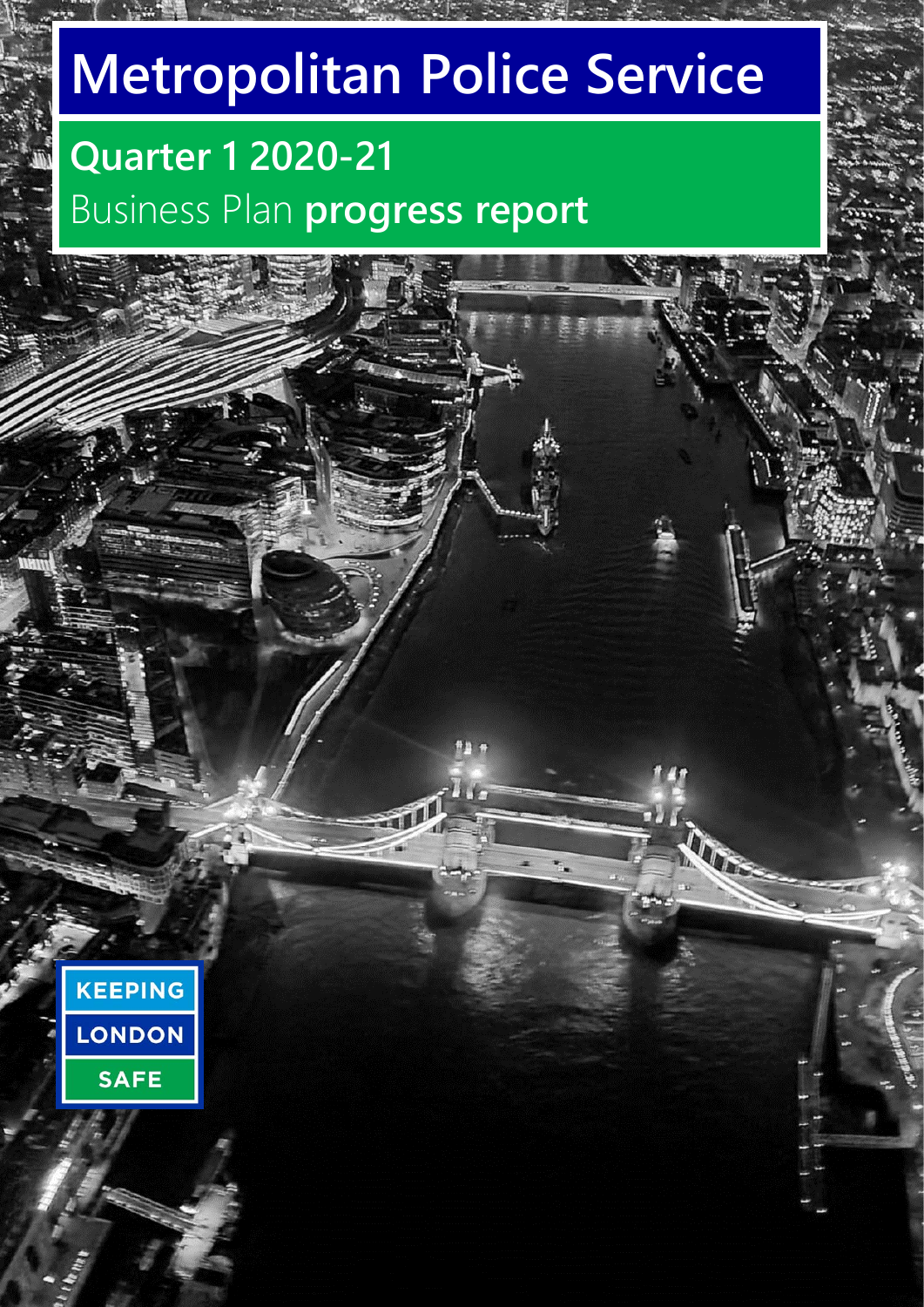# **Metropolitan Police Service**

## **Quarter 1 2020-21** Business Plan **progress report**

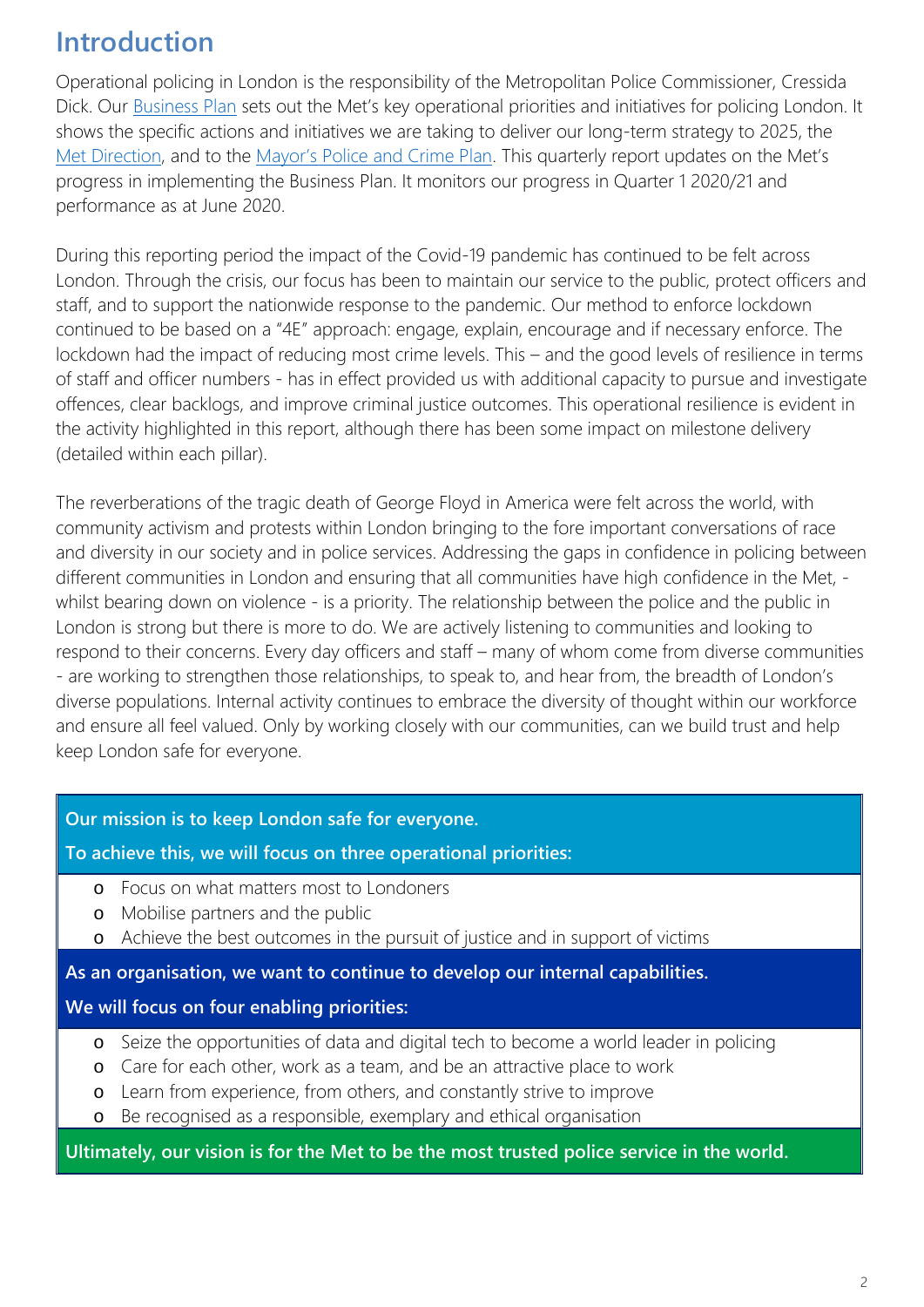### **Introduction**

Operational policing in London is the responsibility of the Metropolitan Police Commissioner, Cressida Dick. Our [Business Plan](https://www.met.police.uk/police-forces/metropolitan-police/areas/about-us/about-the-met/met-business-plan/) sets out the Met's key operational priorities and initiatives for policing London. It shows the specific actions and initiatives we are taking to deliver our long-term strategy to 2025, the [Met Direction,](https://www.met.police.uk/police-forces/metropolitan-police/areas/about-us/about-the-met/the-met-direction/) and to the [Mayor's Police and Crime Plan.](https://www.london.gov.uk/mopac-publications/police-and-crime-plan-2017-2021) This quarterly report updates on the Met's progress in implementing the Business Plan. It monitors our progress in Quarter 1 2020/21 and performance as at June 2020.

During this reporting period the impact of the Covid-19 pandemic has continued to be felt across London. Through the crisis, our focus has been to maintain our service to the public, protect officers and staff, and to support the nationwide response to the pandemic. Our method to enforce lockdown continued to be based on a "4E" approach: engage, explain, encourage and if necessary enforce. The lockdown had the impact of reducing most crime levels. This – and the good levels of resilience in terms of staff and officer numbers - has in effect provided us with additional capacity to pursue and investigate offences, clear backlogs, and improve criminal justice outcomes. This operational resilience is evident in the activity highlighted in this report, although there has been some impact on milestone delivery (detailed within each pillar).

The reverberations of the tragic death of George Floyd in America were felt across the world, with community activism and protests within London bringing to the fore important conversations of race and diversity in our society and in police services. Addressing the gaps in confidence in policing between different communities in London and ensuring that all communities have high confidence in the Met, whilst bearing down on violence - is a priority. The relationship between the police and the public in London is strong but there is more to do. We are actively listening to communities and looking to respond to their concerns. Every day officers and staff – many of whom come from diverse communities - are working to strengthen those relationships, to speak to, and hear from, the breadth of London's diverse populations. Internal activity continues to embrace the diversity of thought within our workforce and ensure all feel valued. Only by working closely with our communities, can we build trust and help keep London safe for everyone.

#### **Our mission is to keep London safe for everyone.**

**To achieve this, we will focus on three operational priorities:**

- o Focus on what matters most to Londoners
- o Mobilise partners and the public
- o Achieve the best outcomes in the pursuit of justice and in support of victims

#### **As an organisation, we want to continue to develop our internal capabilities.**

#### **We will focus on four enabling priorities:**

- o Seize the opportunities of data and digital tech to become a world leader in policing
- o Care for each other, work as a team, and be an attractive place to work
- o Learn from experience, from others, and constantly strive to improve
- o Be recognised as a responsible, exemplary and ethical organisation

#### **Ultimately, our vision is for the Met to be the most trusted police service in the world.**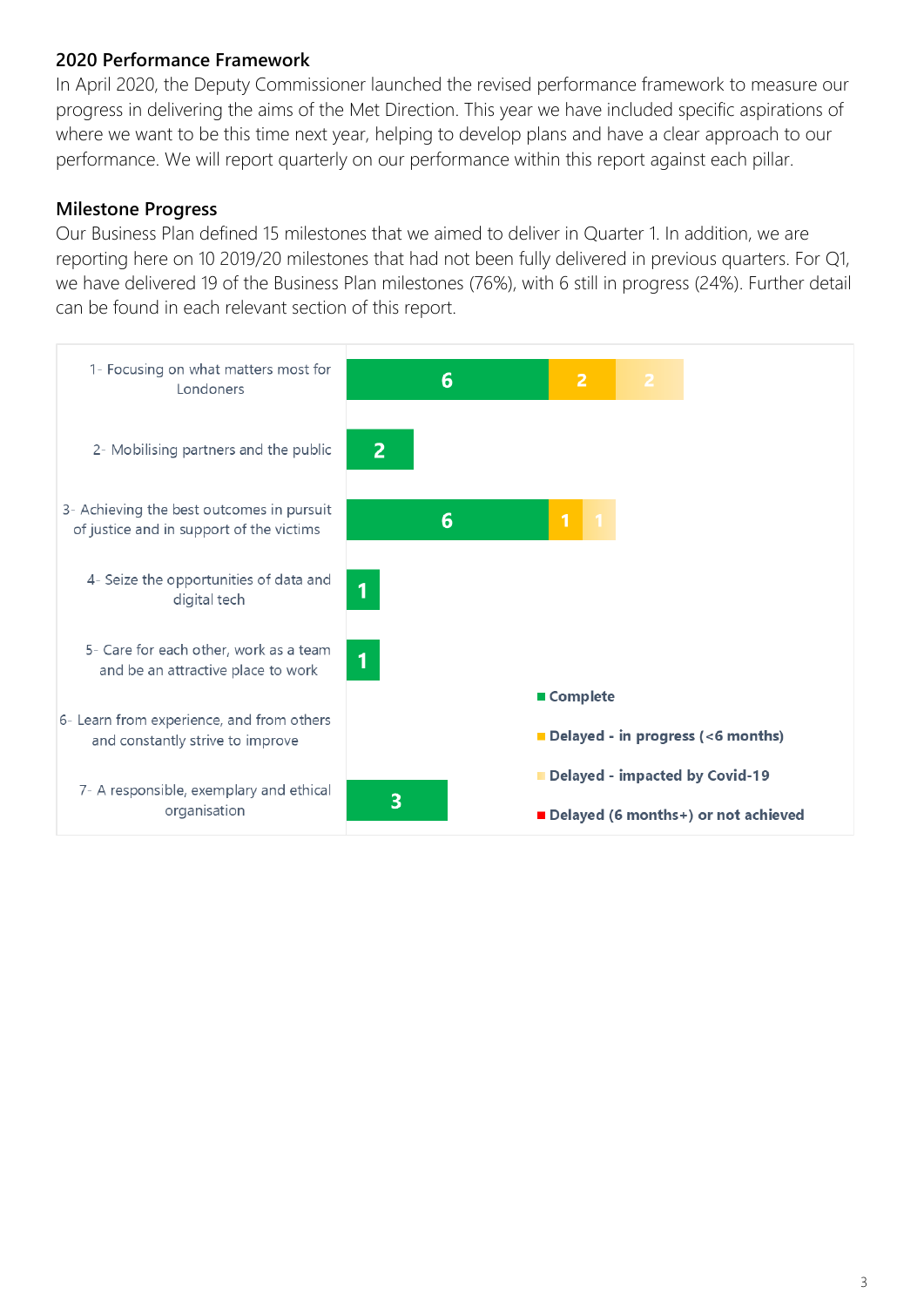#### **2020 Performance Framework**

In April 2020, the Deputy Commissioner launched the revised performance framework to measure our progress in delivering the aims of the Met Direction. This year we have included specific aspirations of where we want to be this time next year, helping to develop plans and have a clear approach to our performance. We will report quarterly on our performance within this report against each pillar.

#### **Milestone Progress**

Our Business Plan defined 15 milestones that we aimed to deliver in Quarter 1. In addition, we are reporting here on 10 2019/20 milestones that had not been fully delivered in previous quarters. For Q1, we have delivered 19 of the Business Plan milestones (76%), with 6 still in progress (24%). Further detail can be found in each relevant section of this report.

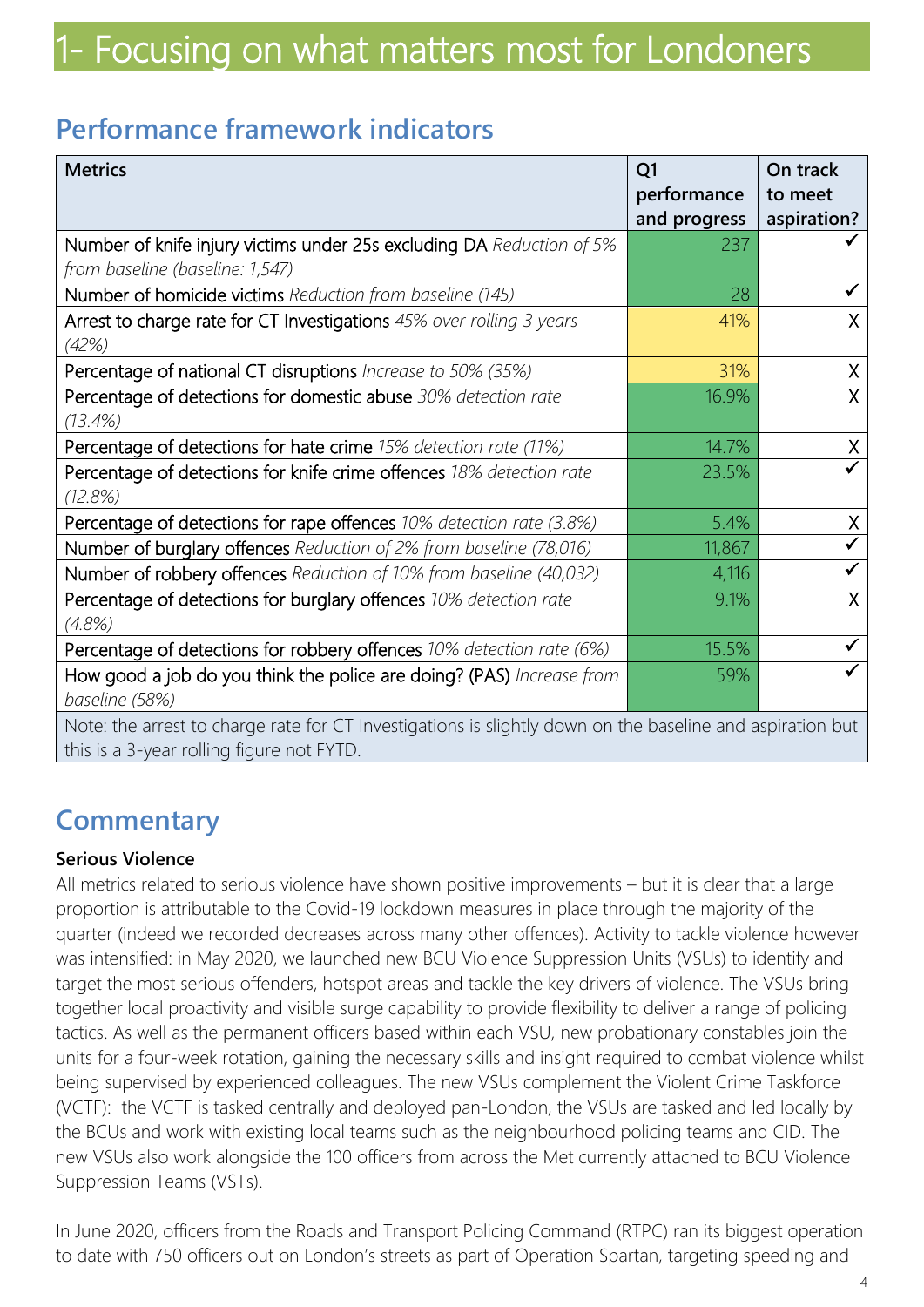### **Performance framework indicators**

| <b>Metrics</b>                                                                                            | Q <sub>1</sub> | On track     |
|-----------------------------------------------------------------------------------------------------------|----------------|--------------|
|                                                                                                           | performance    | to meet      |
|                                                                                                           | and progress   | aspiration?  |
| Number of knife injury victims under 25s excluding DA Reduction of 5%                                     | 237            |              |
| from baseline (baseline: 1,547)                                                                           |                |              |
| Number of homicide victims Reduction from baseline (145)                                                  | 28             |              |
| Arrest to charge rate for CT Investigations 45% over rolling 3 years                                      | 41%            | X.           |
| (42%)                                                                                                     |                |              |
| Percentage of national CT disruptions Increase to 50% (35%)                                               | 31%            | X            |
| Percentage of detections for domestic abuse 30% detection rate                                            | 16.9%          | X            |
| (13.4%)                                                                                                   |                |              |
| Percentage of detections for hate crime 15% detection rate (11%)                                          | 14.7%          | $\mathsf{X}$ |
| Percentage of detections for knife crime offences 18% detection rate                                      | 23.5%          |              |
| (12.8%)                                                                                                   |                |              |
| Percentage of detections for rape offences 10% detection rate (3.8%)                                      | 5.4%           | X.           |
| Number of burglary offences Reduction of 2% from baseline (78,016)                                        | 11,867         |              |
| Number of robbery offences Reduction of 10% from baseline (40,032)                                        | 4,116          |              |
| Percentage of detections for burglary offences 10% detection rate                                         | 9.1%           | X            |
| (4.8%)                                                                                                    |                |              |
| Percentage of detections for robbery offences 10% detection rate (6%)                                     | 15.5%          |              |
| How good a job do you think the police are doing? (PAS) Increase from                                     | 59%            |              |
| baseline (58%)                                                                                            |                |              |
| Note: the arrest to charge rate for CT Investigations is slightly down on the baseline and aspiration but |                |              |
| this is a 3-year rolling figure not FYTD.                                                                 |                |              |

### **Commentary**

#### **Serious Violence**

All metrics related to serious violence have shown positive improvements – but it is clear that a large proportion is attributable to the Covid-19 lockdown measures in place through the majority of the quarter (indeed we recorded decreases across many other offences). Activity to tackle violence however was intensified: in May 2020, we launched new BCU Violence Suppression Units (VSUs) to identify and target the most serious offenders, hotspot areas and tackle the key drivers of violence. The VSUs bring together local proactivity and visible surge capability to provide flexibility to deliver a range of policing tactics. As well as the permanent officers based within each VSU, new probationary constables join the units for a four-week rotation, gaining the necessary skills and insight required to combat violence whilst being supervised by experienced colleagues. The new VSUs complement the Violent Crime Taskforce (VCTF): the VCTF is tasked centrally and deployed pan-London, the VSUs are tasked and led locally by the BCUs and work with existing local teams such as the neighbourhood policing teams and CID. The new VSUs also work alongside the 100 officers from across the Met currently attached to BCU Violence Suppression Teams (VSTs).

In June 2020, officers from the Roads and Transport Policing Command (RTPC) ran its biggest operation to date with 750 officers out on London's streets as part of Operation Spartan, targeting speeding and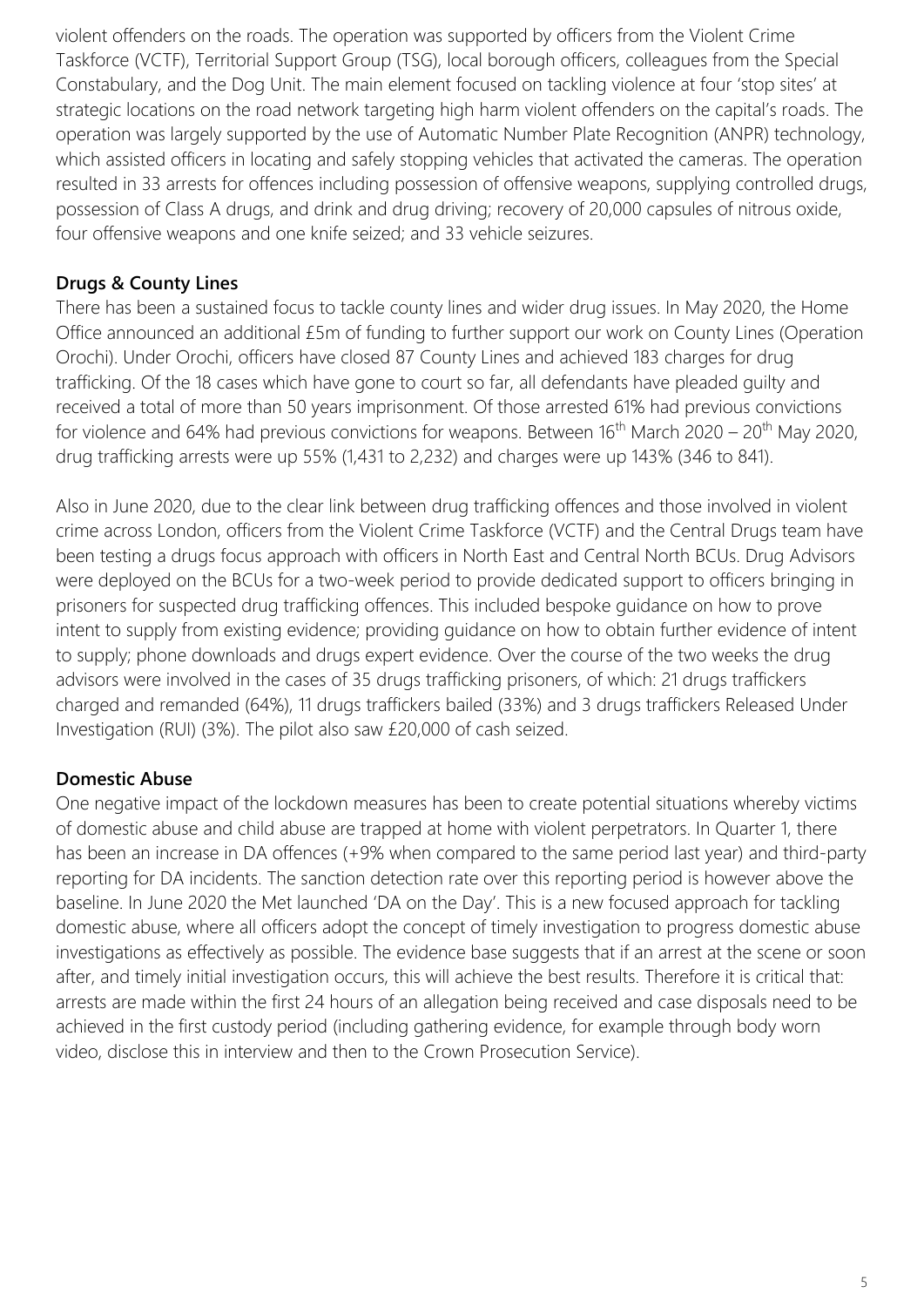violent offenders on the roads. The operation was supported by officers from the Violent Crime Taskforce (VCTF), Territorial Support Group (TSG), local borough officers, colleagues from the Special Constabulary, and the Dog Unit. The main element focused on tackling violence at four 'stop sites' at strategic locations on the road network targeting high harm violent offenders on the capital's roads. The operation was largely supported by the use of Automatic Number Plate Recognition (ANPR) technology, which assisted officers in locating and safely stopping vehicles that activated the cameras. The operation resulted in 33 arrests for offences including possession of offensive weapons, supplying controlled drugs, possession of Class A drugs, and drink and drug driving; recovery of 20,000 capsules of nitrous oxide, four offensive weapons and one knife seized; and 33 vehicle seizures.

#### **Drugs & County Lines**

There has been a sustained focus to tackle county lines and wider drug issues. In May 2020, the Home Office announced an additional £5m of funding to further support our work on County Lines (Operation Orochi). Under Orochi, officers have closed 87 County Lines and achieved 183 charges for drug trafficking. Of the 18 cases which have gone to court so far, all defendants have pleaded guilty and received a total of more than 50 years imprisonment. Of those arrested 61% had previous convictions for violence and 64% had previous convictions for weapons. Between  $16<sup>th</sup>$  March 2020 – 20<sup>th</sup> May 2020, drug trafficking arrests were up 55% (1,431 to 2,232) and charges were up 143% (346 to 841).

Also in June 2020, due to the clear link between drug trafficking offences and those involved in violent crime across London, officers from the Violent Crime Taskforce (VCTF) and the Central Drugs team have been testing a drugs focus approach with officers in North East and Central North BCUs. Drug Advisors were deployed on the BCUs for a two-week period to provide dedicated support to officers bringing in prisoners for suspected drug trafficking offences. This included bespoke guidance on how to prove intent to supply from existing evidence; providing guidance on how to obtain further evidence of intent to supply; phone downloads and drugs expert evidence. Over the course of the two weeks the drug advisors were involved in the cases of 35 drugs trafficking prisoners, of which: 21 drugs traffickers charged and remanded (64%), 11 drugs traffickers bailed (33%) and 3 drugs traffickers Released Under Investigation (RUI) (3%). The pilot also saw £20,000 of cash seized.

#### **Domestic Abuse**

One negative impact of the lockdown measures has been to create potential situations whereby victims of domestic abuse and child abuse are trapped at home with violent perpetrators. In Quarter 1, there has been an increase in DA offences (+9% when compared to the same period last year) and third-party reporting for DA incidents. The sanction detection rate over this reporting period is however above the baseline. In June 2020 the Met launched 'DA on the Day'. This is a new focused approach for tackling domestic abuse, where all officers adopt the concept of timely investigation to progress domestic abuse investigations as effectively as possible. The evidence base suggests that if an arrest at the scene or soon after, and timely initial investigation occurs, this will achieve the best results. Therefore it is critical that: arrests are made within the first 24 hours of an allegation being received and case disposals need to be achieved in the first custody period (including gathering evidence, for example through body worn video, disclose this in interview and then to the Crown Prosecution Service).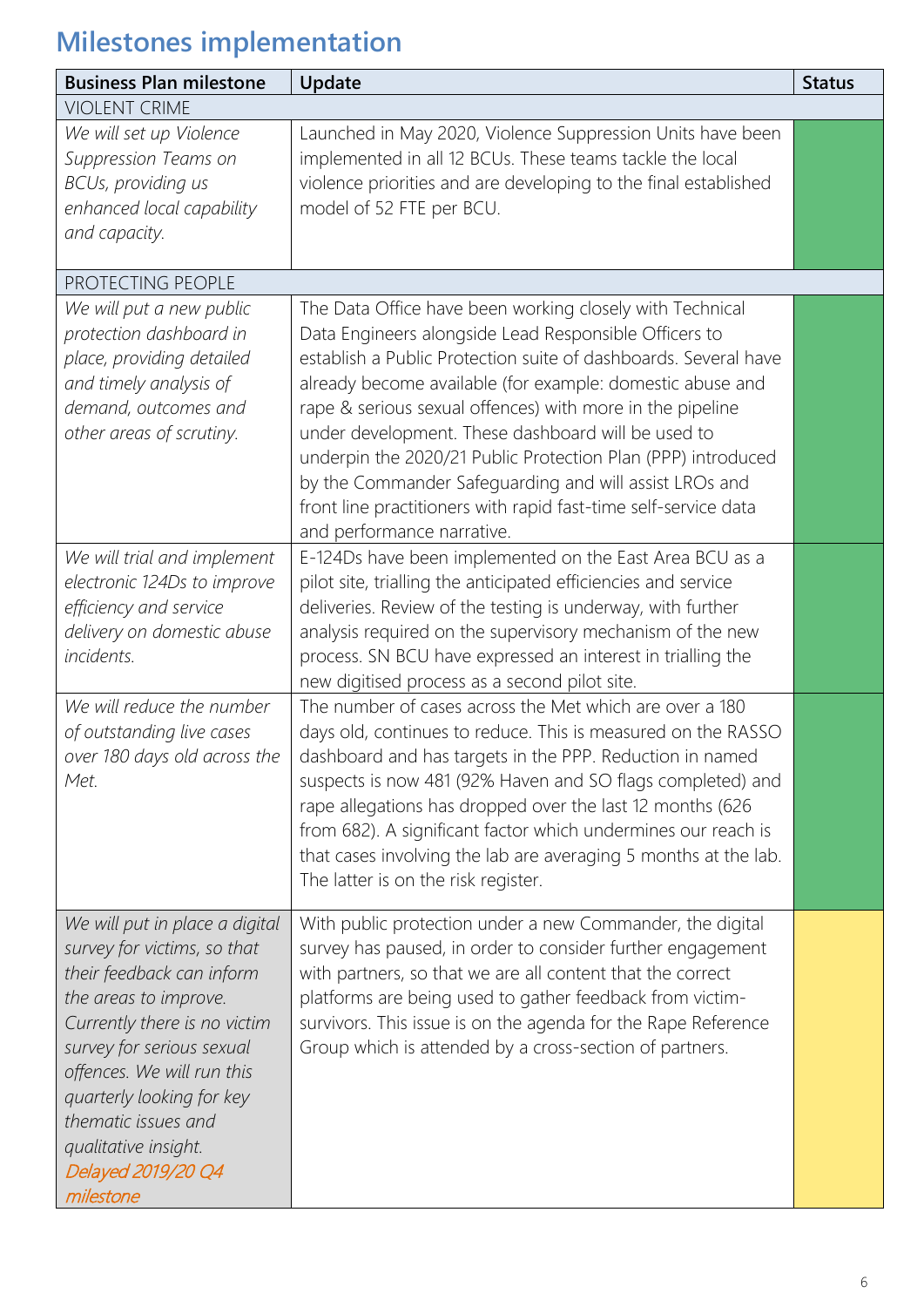| <b>Business Plan milestone</b>                                                                                                                                                                                                                                                                                                | Update                                                                                                                                                                                                                                                                                                                                                                                                                                                                                                                                                                                          | <b>Status</b> |
|-------------------------------------------------------------------------------------------------------------------------------------------------------------------------------------------------------------------------------------------------------------------------------------------------------------------------------|-------------------------------------------------------------------------------------------------------------------------------------------------------------------------------------------------------------------------------------------------------------------------------------------------------------------------------------------------------------------------------------------------------------------------------------------------------------------------------------------------------------------------------------------------------------------------------------------------|---------------|
| <b>VIOLENT CRIME</b>                                                                                                                                                                                                                                                                                                          |                                                                                                                                                                                                                                                                                                                                                                                                                                                                                                                                                                                                 |               |
| We will set up Violence<br>Suppression Teams on<br>BCUs, providing us<br>enhanced local capability<br>and capacity.                                                                                                                                                                                                           | Launched in May 2020, Violence Suppression Units have been<br>implemented in all 12 BCUs. These teams tackle the local<br>violence priorities and are developing to the final established<br>model of 52 FTE per BCU.                                                                                                                                                                                                                                                                                                                                                                           |               |
| PROTECTING PEOPLE                                                                                                                                                                                                                                                                                                             |                                                                                                                                                                                                                                                                                                                                                                                                                                                                                                                                                                                                 |               |
| We will put a new public<br>protection dashboard in<br>place, providing detailed<br>and timely analysis of<br>demand, outcomes and<br>other areas of scrutiny.                                                                                                                                                                | The Data Office have been working closely with Technical<br>Data Engineers alongside Lead Responsible Officers to<br>establish a Public Protection suite of dashboards. Several have<br>already become available (for example: domestic abuse and<br>rape & serious sexual offences) with more in the pipeline<br>under development. These dashboard will be used to<br>underpin the 2020/21 Public Protection Plan (PPP) introduced<br>by the Commander Safeguarding and will assist LROs and<br>front line practitioners with rapid fast-time self-service data<br>and performance narrative. |               |
| We will trial and implement<br>electronic 124Ds to improve<br>efficiency and service<br>delivery on domestic abuse<br>incidents.                                                                                                                                                                                              | E-124Ds have been implemented on the East Area BCU as a<br>pilot site, trialling the anticipated efficiencies and service<br>deliveries. Review of the testing is underway, with further<br>analysis required on the supervisory mechanism of the new<br>process. SN BCU have expressed an interest in trialling the<br>new digitised process as a second pilot site.                                                                                                                                                                                                                           |               |
| We will reduce the number<br>of outstanding live cases<br>over 180 days old across the<br>Met.                                                                                                                                                                                                                                | The number of cases across the Met which are over a 180<br>days old, continues to reduce. This is measured on the RASSO<br>dashboard and has targets in the PPP. Reduction in named<br>suspects is now 481 (92% Haven and SO flags completed) and<br>rape allegations has dropped over the last 12 months (626<br>from 682). A significant factor which undermines our reach is<br>that cases involving the lab are averaging 5 months at the lab.<br>The latter is on the risk register.                                                                                                       |               |
| We will put in place a digital<br>survey for victims, so that<br>their feedback can inform<br>the areas to improve.<br>Currently there is no victim<br>survey for serious sexual<br>offences. We will run this<br>quarterly looking for key<br>thematic issues and<br>qualitative insight.<br>Delayed 2019/20 Q4<br>milestone | With public protection under a new Commander, the digital<br>survey has paused, in order to consider further engagement<br>with partners, so that we are all content that the correct<br>platforms are being used to gather feedback from victim-<br>survivors. This issue is on the agenda for the Rape Reference<br>Group which is attended by a cross-section of partners.                                                                                                                                                                                                                   |               |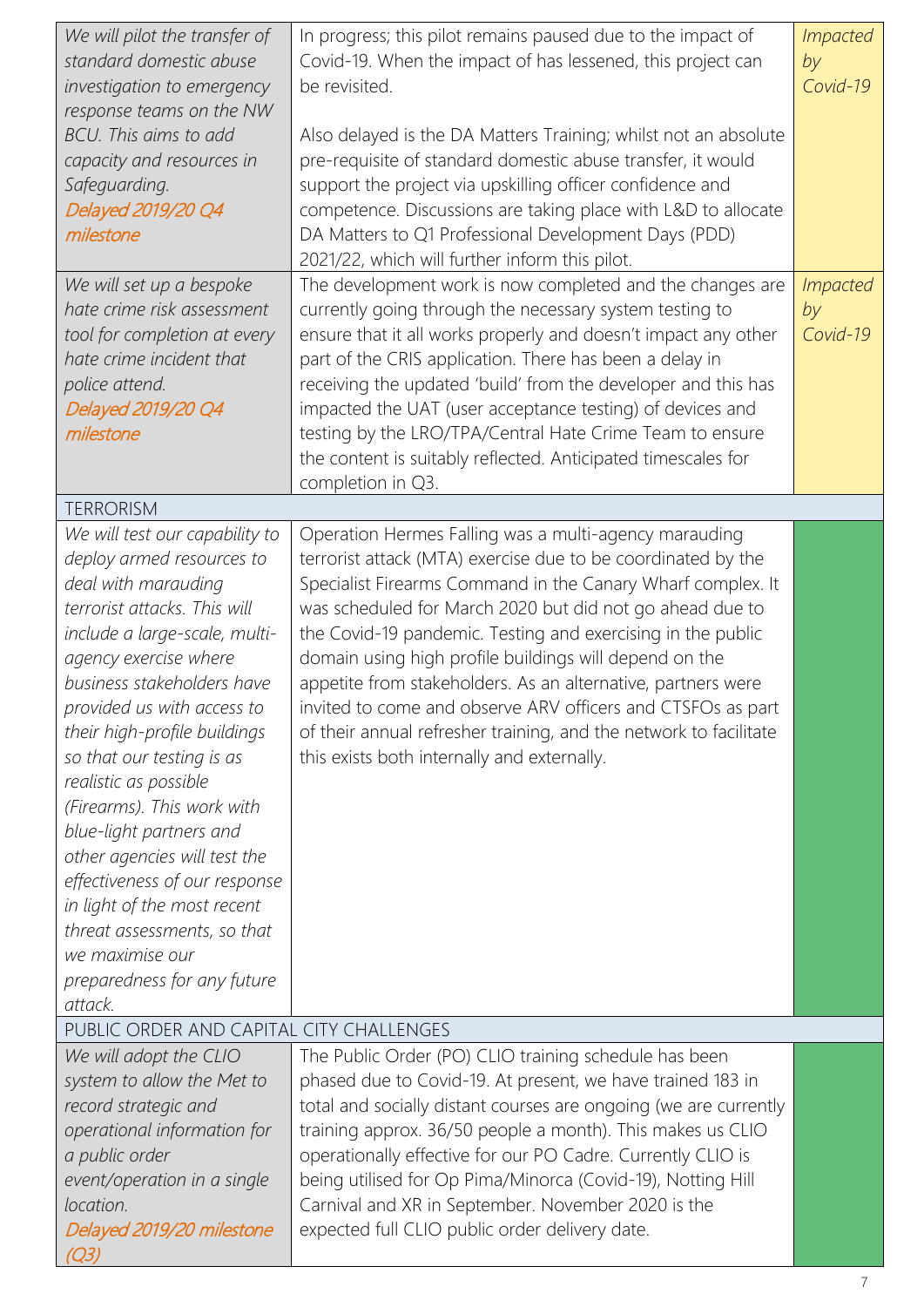| We will pilot the transfer of<br>standard domestic abuse<br>investigation to emergency<br>response teams on the NW<br>BCU. This aims to add<br>capacity and resources in<br>Safeguarding.<br>Delayed 2019/20 Q4<br>milestone                                                                                                                                                                                                                                                                                                                                                        | In progress; this pilot remains paused due to the impact of<br>Covid-19. When the impact of has lessened, this project can<br>be revisited.<br>Also delayed is the DA Matters Training; whilst not an absolute<br>pre-requisite of standard domestic abuse transfer, it would<br>support the project via upskilling officer confidence and<br>competence. Discussions are taking place with L&D to allocate<br>DA Matters to Q1 Professional Development Days (PDD)<br>2021/22, which will further inform this pilot.                                                                                                        | <i>Impacted</i><br>by<br>Covid-19 |
|-------------------------------------------------------------------------------------------------------------------------------------------------------------------------------------------------------------------------------------------------------------------------------------------------------------------------------------------------------------------------------------------------------------------------------------------------------------------------------------------------------------------------------------------------------------------------------------|------------------------------------------------------------------------------------------------------------------------------------------------------------------------------------------------------------------------------------------------------------------------------------------------------------------------------------------------------------------------------------------------------------------------------------------------------------------------------------------------------------------------------------------------------------------------------------------------------------------------------|-----------------------------------|
| We will set up a bespoke<br>hate crime risk assessment<br>tool for completion at every<br>hate crime incident that<br>police attend.<br>Delayed 2019/20 Q4<br>milestone                                                                                                                                                                                                                                                                                                                                                                                                             | The development work is now completed and the changes are<br>currently going through the necessary system testing to<br>ensure that it all works properly and doesn't impact any other<br>part of the CRIS application. There has been a delay in<br>receiving the updated 'build' from the developer and this has<br>impacted the UAT (user acceptance testing) of devices and<br>testing by the LRO/TPA/Central Hate Crime Team to ensure<br>the content is suitably reflected. Anticipated timescales for<br>completion in Q3.                                                                                            | <b>Impacted</b><br>by<br>Covid-19 |
| <b>TERRORISM</b>                                                                                                                                                                                                                                                                                                                                                                                                                                                                                                                                                                    |                                                                                                                                                                                                                                                                                                                                                                                                                                                                                                                                                                                                                              |                                   |
| We will test our capability to<br>deploy armed resources to<br>deal with marauding<br>terrorist attacks. This will<br>include a large-scale, multi-<br>agency exercise where<br>business stakeholders have<br>provided us with access to<br>their high-profile buildings<br>so that our testing is as<br>realistic as possible<br>(Firearms). This work with<br>blue-light partners and<br>other agencies will test the<br>effectiveness of our response<br>in light of the most recent<br>threat assessments, so that<br>we maximise our<br>preparedness for any future<br>attack. | Operation Hermes Falling was a multi-agency marauding<br>terrorist attack (MTA) exercise due to be coordinated by the<br>Specialist Firearms Command in the Canary Wharf complex. It<br>was scheduled for March 2020 but did not go ahead due to<br>the Covid-19 pandemic. Testing and exercising in the public<br>domain using high profile buildings will depend on the<br>appetite from stakeholders. As an alternative, partners were<br>invited to come and observe ARV officers and CTSFOs as part<br>of their annual refresher training, and the network to facilitate<br>this exists both internally and externally. |                                   |
| PUBLIC ORDER AND CAPITAL CITY CHALLENGES                                                                                                                                                                                                                                                                                                                                                                                                                                                                                                                                            |                                                                                                                                                                                                                                                                                                                                                                                                                                                                                                                                                                                                                              |                                   |
| We will adopt the CLIO<br>system to allow the Met to<br>record strategic and<br>operational information for<br>a public order<br>event/operation in a single<br>location.<br>Delayed 2019/20 milestone<br>Q3)                                                                                                                                                                                                                                                                                                                                                                       | The Public Order (PO) CLIO training schedule has been<br>phased due to Covid-19. At present, we have trained 183 in<br>total and socially distant courses are ongoing (we are currently<br>training approx. 36/50 people a month). This makes us CLIO<br>operationally effective for our PO Cadre. Currently CLIO is<br>being utilised for Op Pima/Minorca (Covid-19), Notting Hill<br>Carnival and XR in September. November 2020 is the<br>expected full CLIO public order delivery date.                                                                                                                                  |                                   |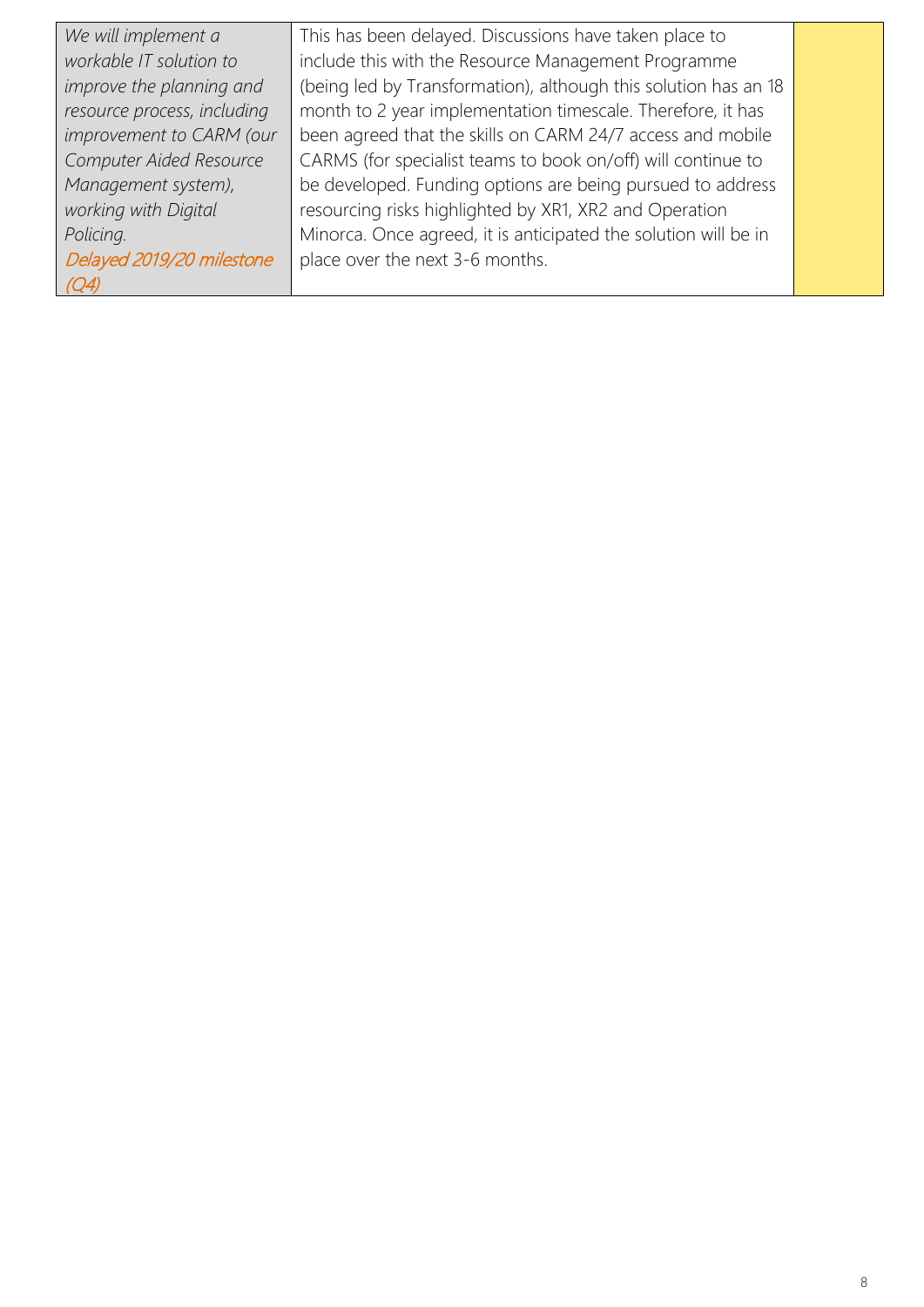| We will implement a         | This has been delayed. Discussions have taken place to          |  |
|-----------------------------|-----------------------------------------------------------------|--|
| workable IT solution to     | include this with the Resource Management Programme             |  |
| improve the planning and    | (being led by Transformation), although this solution has an 18 |  |
| resource process, including | month to 2 year implementation timescale. Therefore, it has     |  |
| improvement to CARM (our    | been agreed that the skills on CARM 24/7 access and mobile      |  |
| Computer Aided Resource     | CARMS (for specialist teams to book on/off) will continue to    |  |
| Management system),         | be developed. Funding options are being pursued to address      |  |
| working with Digital        | resourcing risks highlighted by XR1, XR2 and Operation          |  |
| Policing.                   | Minorca. Once agreed, it is anticipated the solution will be in |  |
| Delayed 2019/20 milestone   | place over the next 3-6 months.                                 |  |
| (Q4)                        |                                                                 |  |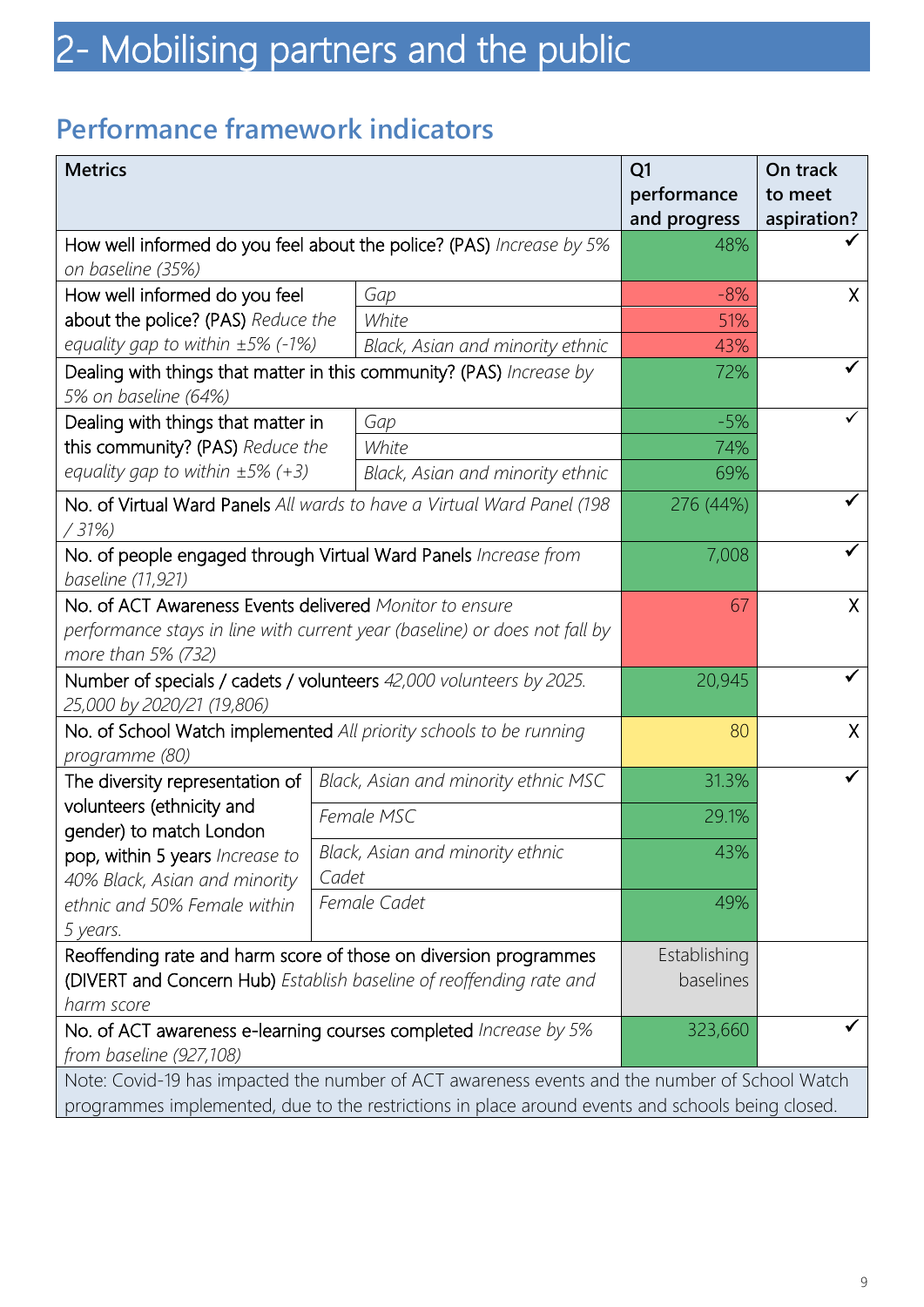### **Performance framework indicators**

| <b>Metrics</b>                                                                                                                                              |                                                                                                                                                                                                   |                                      | Q1                          | On track               |
|-------------------------------------------------------------------------------------------------------------------------------------------------------------|---------------------------------------------------------------------------------------------------------------------------------------------------------------------------------------------------|--------------------------------------|-----------------------------|------------------------|
|                                                                                                                                                             |                                                                                                                                                                                                   |                                      | performance<br>and progress | to meet<br>aspiration? |
| How well informed do you feel about the police? (PAS) Increase by 5%                                                                                        |                                                                                                                                                                                                   |                                      | 48%                         |                        |
| on baseline (35%)                                                                                                                                           |                                                                                                                                                                                                   |                                      |                             |                        |
| How well informed do you feel                                                                                                                               |                                                                                                                                                                                                   | Gap                                  | $-8%$                       | X.                     |
| about the police? (PAS) Reduce the                                                                                                                          |                                                                                                                                                                                                   | White                                | 51%                         |                        |
| equality gap to within $\pm 5\%$ (-1%)                                                                                                                      |                                                                                                                                                                                                   | Black, Asian and minority ethnic     | 43%                         |                        |
| Dealing with things that matter in this community? (PAS) Increase by<br>5% on baseline (64%)                                                                |                                                                                                                                                                                                   |                                      | 72%                         |                        |
| Dealing with things that matter in                                                                                                                          |                                                                                                                                                                                                   | Gap                                  | $-5%$                       |                        |
| this community? (PAS) Reduce the                                                                                                                            |                                                                                                                                                                                                   | White                                | 74%                         |                        |
| equality gap to within $\pm 5\%$ (+3)                                                                                                                       |                                                                                                                                                                                                   | Black, Asian and minority ethnic     | 69%                         |                        |
| No. of Virtual Ward Panels All wards to have a Virtual Ward Panel (198<br>/31%                                                                              |                                                                                                                                                                                                   |                                      | 276 (44%)                   |                        |
| No. of people engaged through Virtual Ward Panels Increase from<br>baseline (11,921)                                                                        |                                                                                                                                                                                                   |                                      | 7,008                       |                        |
| No. of ACT Awareness Events delivered Monitor to ensure<br>performance stays in line with current year (baseline) or does not fall by<br>more than 5% (732) |                                                                                                                                                                                                   |                                      | 67                          | X                      |
| Number of specials / cadets / volunteers 42,000 volunteers by 2025.<br>25,000 by 2020/21 (19,806)                                                           |                                                                                                                                                                                                   |                                      | 20,945                      |                        |
| No. of School Watch implemented All priority schools to be running<br>programme (80)                                                                        |                                                                                                                                                                                                   |                                      | 80                          | $\sf X$                |
| The diversity representation of                                                                                                                             |                                                                                                                                                                                                   | Black, Asian and minority ethnic MSC | 31.3%                       |                        |
| volunteers (ethnicity and<br>gender) to match London                                                                                                        |                                                                                                                                                                                                   | Female MSC                           | 29.1%                       |                        |
| pop, within 5 years Increase to<br>40% Black, Asian and minority                                                                                            | Cadet                                                                                                                                                                                             | Black, Asian and minority ethnic     | 43%                         |                        |
| ethnic and 50% Female within<br>5 years.                                                                                                                    |                                                                                                                                                                                                   | Female Cadet                         | 49%                         |                        |
| Reoffending rate and harm score of those on diversion programmes                                                                                            | Establishing                                                                                                                                                                                      |                                      |                             |                        |
| (DIVERT and Concern Hub) Establish baseline of reoffending rate and<br>harm score                                                                           |                                                                                                                                                                                                   |                                      | baselines                   |                        |
| No. of ACT awareness e-learning courses completed Increase by 5%<br>from baseline (927,108)                                                                 |                                                                                                                                                                                                   |                                      | 323,660                     |                        |
|                                                                                                                                                             | Note: Covid-19 has impacted the number of ACT awareness events and the number of School Watch<br>programmes implemented, due to the restrictions in place around events and schools being closed. |                                      |                             |                        |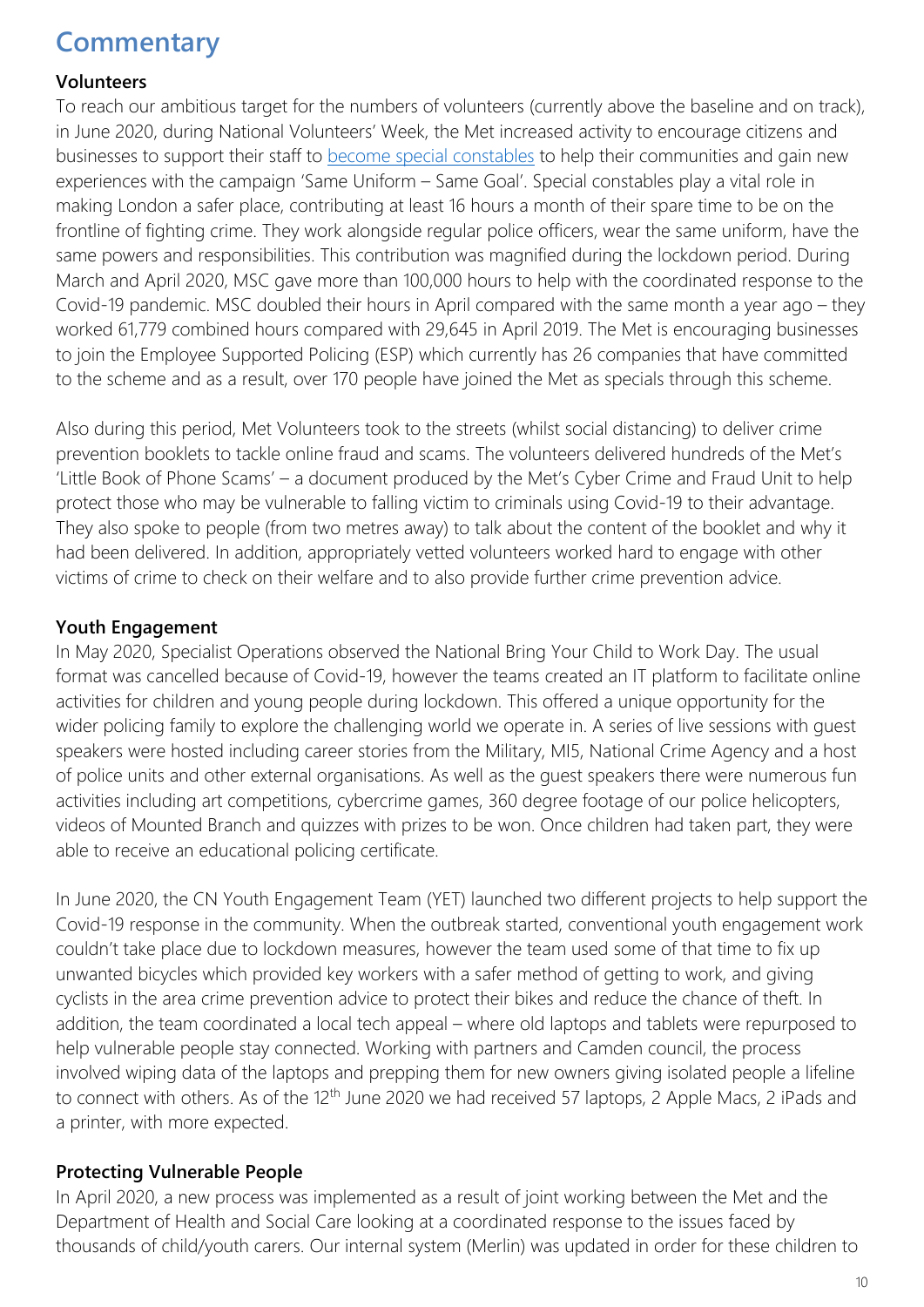### **Commentary**

#### **Volunteers**

To reach our ambitious target for the numbers of volunteers (currently above the baseline and on track), in June 2020, during National Volunteers' Week, the Met increased activity to encourage citizens and businesses to support their staff to [become special constables](https://www.met.police.uk/car/careers/met/police-volunteer-roles/special-constable/special-constable-overview) to help their communities and gain new experiences with the campaign 'Same Uniform – Same Goal'. Special constables play a vital role in making London a safer place, contributing at least 16 hours a month of their spare time to be on the frontline of fighting crime. They work alongside regular police officers, wear the same uniform, have the same powers and responsibilities. This contribution was magnified during the lockdown period. During March and April 2020, MSC gave more than 100,000 hours to help with the coordinated response to the Covid-19 pandemic. MSC doubled their hours in April compared with the same month a year ago – they worked 61,779 combined hours compared with 29,645 in April 2019. The Met is encouraging businesses to join the Employee Supported Policing (ESP) which currently has 26 companies that have committed to the scheme and as a result, over 170 people have joined the Met as specials through this scheme.

Also during this period, Met Volunteers took to the streets (whilst social distancing) to deliver crime prevention booklets to tackle online fraud and scams. The volunteers delivered hundreds of the Met's 'Little Book of Phone Scams' – a document produced by the Met's Cyber Crime and Fraud Unit to help protect those who may be vulnerable to falling victim to criminals using Covid-19 to their advantage. They also spoke to people (from two metres away) to talk about the content of the booklet and why it had been delivered. In addition, appropriately vetted volunteers worked hard to engage with other victims of crime to check on their welfare and to also provide further crime prevention advice.

#### **Youth Engagement**

In May 2020, Specialist Operations observed the National Bring Your Child to Work Day. The usual format was cancelled because of Covid-19, however the teams created an IT platform to facilitate online activities for children and young people during lockdown. This offered a unique opportunity for the wider policing family to explore the challenging world we operate in. A series of live sessions with guest speakers were hosted including career stories from the Military, MI5, National Crime Agency and a host of police units and other external organisations. As well as the guest speakers there were numerous fun activities including art competitions, cybercrime games, 360 degree footage of our police helicopters, videos of Mounted Branch and quizzes with prizes to be won. Once children had taken part, they were able to receive an educational policing certificate.

In June 2020, the CN Youth Engagement Team (YET) launched two different projects to help support the Covid-19 response in the community. When the outbreak started, conventional youth engagement work couldn't take place due to lockdown measures, however the team used some of that time to fix up unwanted bicycles which provided key workers with a safer method of getting to work, and giving cyclists in the area crime prevention advice to protect their bikes and reduce the chance of theft. In addition, the team coordinated a local tech appeal – where old laptops and tablets were repurposed to help vulnerable people stay connected. Working with partners and Camden council, the process involved wiping data of the laptops and prepping them for new owners giving isolated people a lifeline to connect with others. As of the 12<sup>th</sup> June 2020 we had received 57 laptops, 2 Apple Macs, 2 iPads and a printer, with more expected.

#### **Protecting Vulnerable People**

In April 2020, a new process was implemented as a result of joint working between the Met and the Department of Health and Social Care looking at a coordinated response to the issues faced by thousands of child/youth carers. Our internal system (Merlin) was updated in order for these children to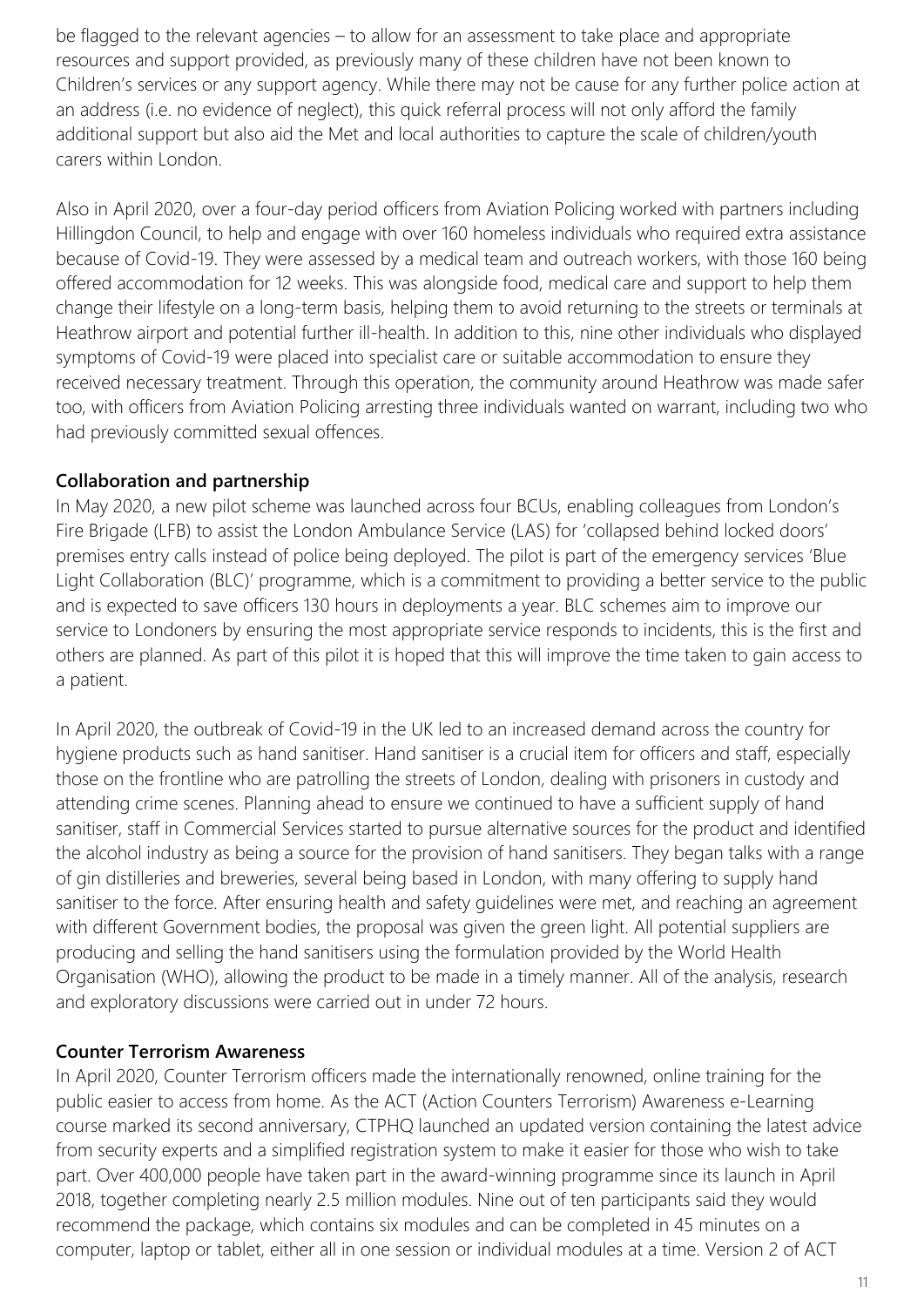be flagged to the relevant agencies – to allow for an assessment to take place and appropriate resources and support provided, as previously many of these children have not been known to Children's services or any support agency. While there may not be cause for any further police action at an address (i.e. no evidence of neglect), this quick referral process will not only afford the family additional support but also aid the Met and local authorities to capture the scale of children/youth carers within London.

Also in April 2020, over a four-day period officers from Aviation Policing worked with partners including Hillingdon Council, to help and engage with over 160 homeless individuals who required extra assistance because of Covid-19. They were assessed by a medical team and outreach workers, with those 160 being offered accommodation for 12 weeks. This was alongside food, medical care and support to help them change their lifestyle on a long-term basis, helping them to avoid returning to the streets or terminals at Heathrow airport and potential further ill-health. In addition to this, nine other individuals who displayed symptoms of Covid-19 were placed into specialist care or suitable accommodation to ensure they received necessary treatment. Through this operation, the community around Heathrow was made safer too, with officers from Aviation Policing arresting three individuals wanted on warrant, including two who had previously committed sexual offences.

#### **Collaboration and partnership**

In May 2020, a new pilot scheme was launched across four BCUs, enabling colleagues from London's Fire Brigade (LFB) to assist the London Ambulance Service (LAS) for 'collapsed behind locked doors' premises entry calls instead of police being deployed. The pilot is part of the emergency services 'Blue Light Collaboration (BLC)' programme, which is a commitment to providing a better service to the public and is expected to save officers 130 hours in deployments a year. BLC schemes aim to improve our service to Londoners by ensuring the most appropriate service responds to incidents, this is the first and others are planned. As part of this pilot it is hoped that this will improve the time taken to gain access to a patient.

In April 2020, the outbreak of Covid-19 in the UK led to an increased demand across the country for hygiene products such as hand sanitiser. Hand sanitiser is a crucial item for officers and staff, especially those on the frontline who are patrolling the streets of London, dealing with prisoners in custody and attending crime scenes. Planning ahead to ensure we continued to have a sufficient supply of hand sanitiser, staff in Commercial Services started to pursue alternative sources for the product and identified the alcohol industry as being a source for the provision of hand sanitisers. They began talks with a range of gin distilleries and breweries, several being based in London, with many offering to supply hand sanitiser to the force. After ensuring health and safety guidelines were met, and reaching an agreement with different Government bodies, the proposal was given the green light. All potential suppliers are producing and selling the hand sanitisers using the formulation provided by the World Health Organisation (WHO), allowing the product to be made in a timely manner. All of the analysis, research and exploratory discussions were carried out in under 72 hours.

#### **Counter Terrorism Awareness**

In April 2020, Counter Terrorism officers made the internationally renowned, online training for the public easier to access from home. As the ACT (Action Counters Terrorism) Awareness e-Learning course marked its second anniversary, CTPHQ launched an updated version containing the latest advice from security experts and a simplified registration system to make it easier for those who wish to take part. Over 400,000 people have taken part in the award-winning programme since its launch in April 2018, together completing nearly 2.5 million modules. Nine out of ten participants said they would recommend the package, which contains six modules and can be completed in 45 minutes on a computer, laptop or tablet, either all in one session or individual modules at a time. Version 2 of ACT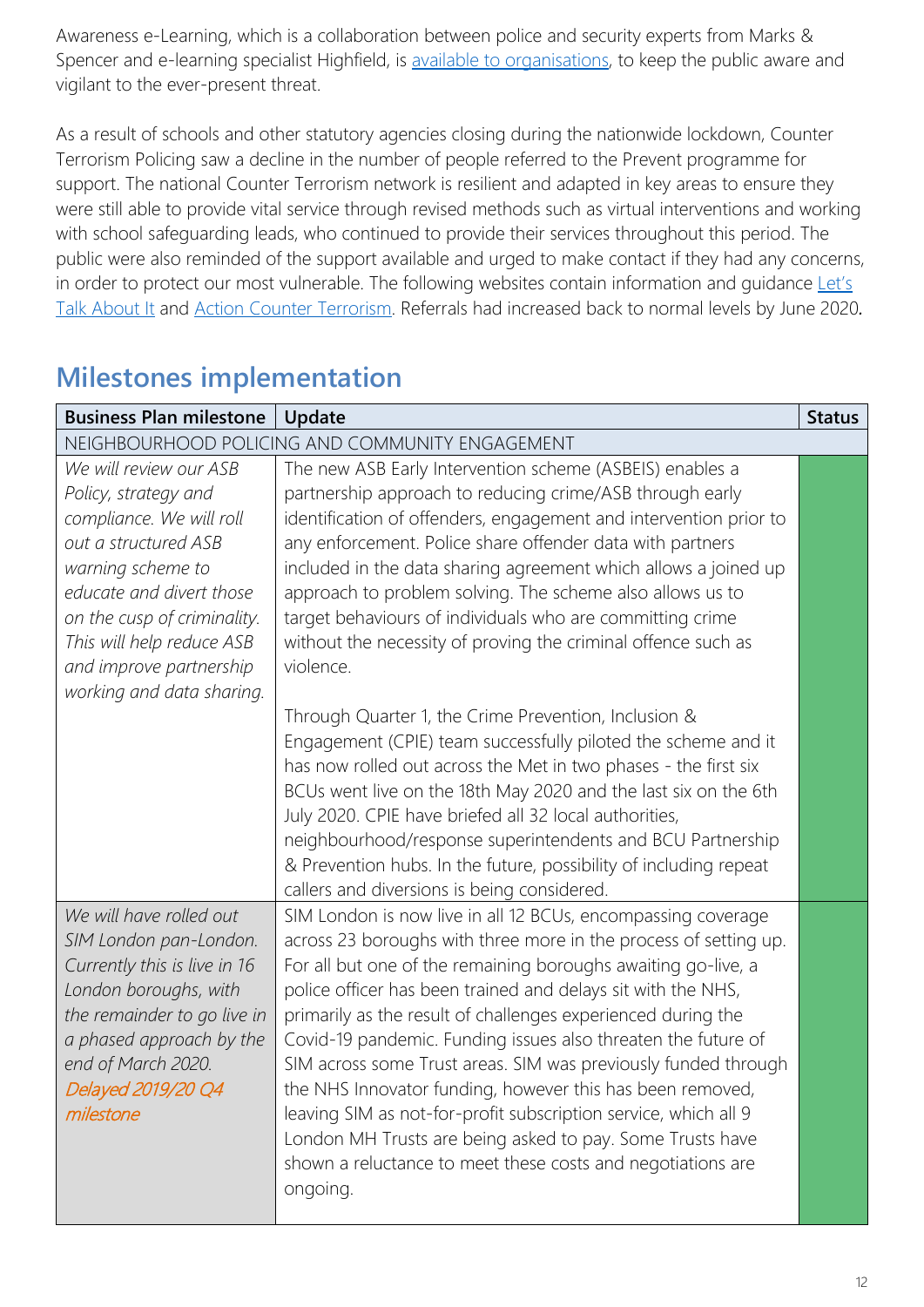Awareness e-Learning, which is a collaboration between police and security experts from Marks & Spencer and e-learning specialist Highfield, is [available to organisations,](https://ct.highfieldelearning.com/) to keep the public aware and vigilant to the ever-present threat.

As a result of schools and other statutory agencies closing during the nationwide lockdown, Counter Terrorism Policing saw a decline in the number of people referred to the Prevent programme for support. The national Counter Terrorism network is resilient and adapted in key areas to ensure they were still able to provide vital service through revised methods such as virtual interventions and working with school safeguarding leads, who continued to provide their services throughout this period. The public were also reminded of the support available and urged to make contact if they had any concerns, in order to protect our most vulnerable. The following websites contain information and guidance [Let's](https://www.ltai.info/)  [Talk About It](https://www.ltai.info/) and [Action Counter Terrorism.](https://act.campaign.gov.uk/) Referrals had increased back to normal levels by June 2020*.*

| <b>Business Plan milestone</b>                                                                                                                                                                                                                                          | Update                                                                                                                                                                                                                                                                                                                                                                                                                                                                                                                                                                                                                                                                                                                                                                                                                                                                                                                                                                                        | <b>Status</b> |
|-------------------------------------------------------------------------------------------------------------------------------------------------------------------------------------------------------------------------------------------------------------------------|-----------------------------------------------------------------------------------------------------------------------------------------------------------------------------------------------------------------------------------------------------------------------------------------------------------------------------------------------------------------------------------------------------------------------------------------------------------------------------------------------------------------------------------------------------------------------------------------------------------------------------------------------------------------------------------------------------------------------------------------------------------------------------------------------------------------------------------------------------------------------------------------------------------------------------------------------------------------------------------------------|---------------|
|                                                                                                                                                                                                                                                                         | NEIGHBOURHOOD POLICING AND COMMUNITY ENGAGEMENT                                                                                                                                                                                                                                                                                                                                                                                                                                                                                                                                                                                                                                                                                                                                                                                                                                                                                                                                               |               |
| We will review our ASB<br>Policy, strategy and<br>compliance. We will roll<br>out a structured ASB<br>warning scheme to<br>educate and divert those<br>on the cusp of criminality.<br>This will help reduce ASB<br>and improve partnership<br>working and data sharing. | The new ASB Early Intervention scheme (ASBEIS) enables a<br>partnership approach to reducing crime/ASB through early<br>identification of offenders, engagement and intervention prior to<br>any enforcement. Police share offender data with partners<br>included in the data sharing agreement which allows a joined up<br>approach to problem solving. The scheme also allows us to<br>target behaviours of individuals who are committing crime<br>without the necessity of proving the criminal offence such as<br>violence.<br>Through Quarter 1, the Crime Prevention, Inclusion &<br>Engagement (CPIE) team successfully piloted the scheme and it<br>has now rolled out across the Met in two phases - the first six<br>BCUs went live on the 18th May 2020 and the last six on the 6th<br>July 2020. CPIE have briefed all 32 local authorities,<br>neighbourhood/response superintendents and BCU Partnership<br>& Prevention hubs. In the future, possibility of including repeat |               |
| We will have rolled out<br>SIM London pan-London.<br>Currently this is live in 16<br>London boroughs, with<br>the remainder to go live in<br>a phased approach by the<br>end of March 2020.<br>Delayed 2019/20 Q4<br>milestone                                          | callers and diversions is being considered.<br>SIM London is now live in all 12 BCUs, encompassing coverage<br>across 23 boroughs with three more in the process of setting up.<br>For all but one of the remaining boroughs awaiting go-live, a<br>police officer has been trained and delays sit with the NHS,<br>primarily as the result of challenges experienced during the<br>Covid-19 pandemic. Funding issues also threaten the future of<br>SIM across some Trust areas. SIM was previously funded through<br>the NHS Innovator funding, however this has been removed,<br>leaving SIM as not-for-profit subscription service, which all 9<br>London MH Trusts are being asked to pay. Some Trusts have<br>shown a reluctance to meet these costs and negotiations are<br>ongoing.                                                                                                                                                                                                   |               |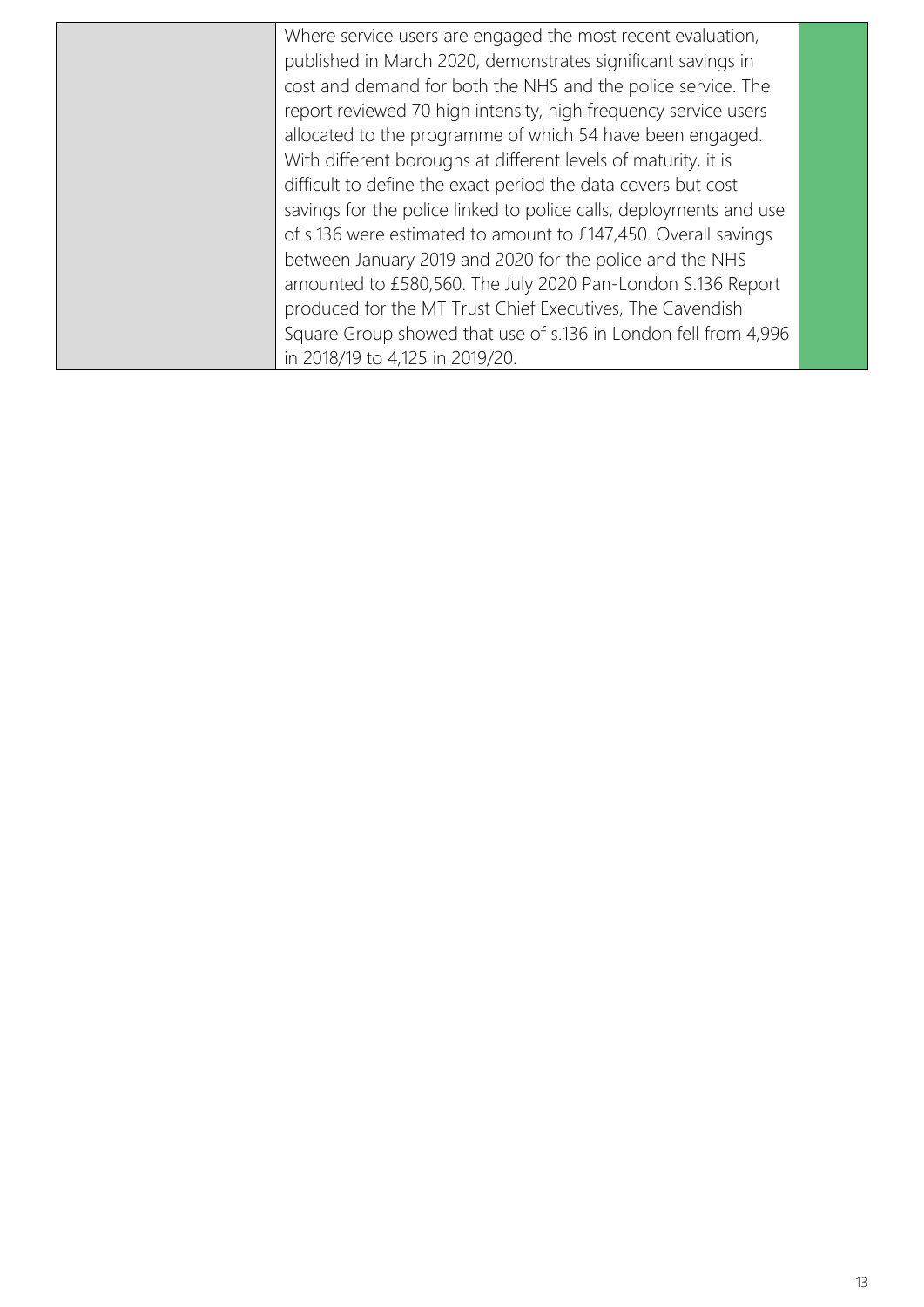| Where service users are engaged the most recent evaluation,        |  |
|--------------------------------------------------------------------|--|
| published in March 2020, demonstrates significant savings in       |  |
| cost and demand for both the NHS and the police service. The       |  |
| report reviewed 70 high intensity, high frequency service users    |  |
| allocated to the programme of which 54 have been engaged.          |  |
| With different boroughs at different levels of maturity, it is     |  |
| difficult to define the exact period the data covers but cost      |  |
| savings for the police linked to police calls, deployments and use |  |
| of s.136 were estimated to amount to £147,450. Overall savings     |  |
| between January 2019 and 2020 for the police and the NHS           |  |
| amounted to £580,560. The July 2020 Pan-London S.136 Report        |  |
| produced for the MT Trust Chief Executives, The Cavendish          |  |
| Square Group showed that use of s.136 in London fell from 4,996    |  |
| in 2018/19 to 4,125 in 2019/20.                                    |  |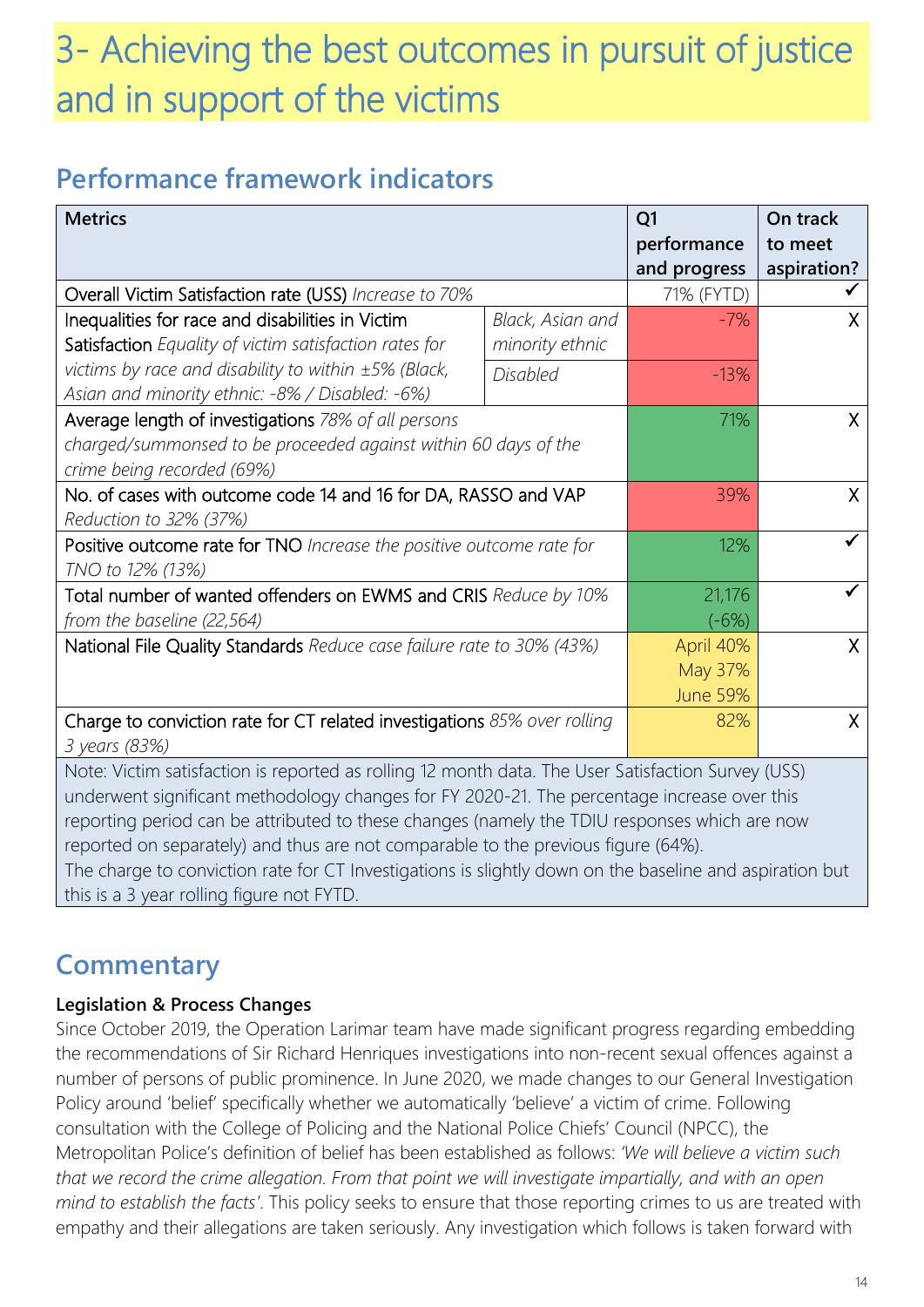## 3- Achieving the best outcomes in pursuit of justice and in support of the victims

### **Performance framework indicators**

| performance<br>to meet<br>aspiration?<br>and progress<br>Overall Victim Satisfaction rate (USS) Increase to 70%<br>71% (FYTD)<br>Inequalities for race and disabilities in Victim<br>Black, Asian and<br>$-7%$<br>X<br>Satisfaction Equality of victim satisfaction rates for<br>minority ethnic<br>victims by race and disability to within ±5% (Black,<br><b>Disabled</b><br>$-13%$<br>Asian and minority ethnic: -8% / Disabled: -6%)<br>Average length of investigations 78% of all persons<br>71%<br>$\sf X$<br>charged/summonsed to be proceeded against within 60 days of the<br>crime being recorded (69%)<br>No. of cases with outcome code 14 and 16 for DA, RASSO and VAP<br>39%<br>$\mathsf{X}$ |  |  |
|-------------------------------------------------------------------------------------------------------------------------------------------------------------------------------------------------------------------------------------------------------------------------------------------------------------------------------------------------------------------------------------------------------------------------------------------------------------------------------------------------------------------------------------------------------------------------------------------------------------------------------------------------------------------------------------------------------------|--|--|
|                                                                                                                                                                                                                                                                                                                                                                                                                                                                                                                                                                                                                                                                                                             |  |  |
|                                                                                                                                                                                                                                                                                                                                                                                                                                                                                                                                                                                                                                                                                                             |  |  |
|                                                                                                                                                                                                                                                                                                                                                                                                                                                                                                                                                                                                                                                                                                             |  |  |
|                                                                                                                                                                                                                                                                                                                                                                                                                                                                                                                                                                                                                                                                                                             |  |  |
|                                                                                                                                                                                                                                                                                                                                                                                                                                                                                                                                                                                                                                                                                                             |  |  |
|                                                                                                                                                                                                                                                                                                                                                                                                                                                                                                                                                                                                                                                                                                             |  |  |
|                                                                                                                                                                                                                                                                                                                                                                                                                                                                                                                                                                                                                                                                                                             |  |  |
|                                                                                                                                                                                                                                                                                                                                                                                                                                                                                                                                                                                                                                                                                                             |  |  |
|                                                                                                                                                                                                                                                                                                                                                                                                                                                                                                                                                                                                                                                                                                             |  |  |
|                                                                                                                                                                                                                                                                                                                                                                                                                                                                                                                                                                                                                                                                                                             |  |  |
| Reduction to 32% (37%)                                                                                                                                                                                                                                                                                                                                                                                                                                                                                                                                                                                                                                                                                      |  |  |
| Positive outcome rate for TNO Increase the positive outcome rate for<br>12%                                                                                                                                                                                                                                                                                                                                                                                                                                                                                                                                                                                                                                 |  |  |
| TNO to 12% (13%)                                                                                                                                                                                                                                                                                                                                                                                                                                                                                                                                                                                                                                                                                            |  |  |
| Total number of wanted offenders on EWMS and CRIS Reduce by 10%<br>21,176                                                                                                                                                                                                                                                                                                                                                                                                                                                                                                                                                                                                                                   |  |  |
| from the baseline (22,564)<br>$(-6%)$                                                                                                                                                                                                                                                                                                                                                                                                                                                                                                                                                                                                                                                                       |  |  |
| National File Quality Standards Reduce case failure rate to 30% (43%)<br>April 40%<br>X                                                                                                                                                                                                                                                                                                                                                                                                                                                                                                                                                                                                                     |  |  |
| May 37%                                                                                                                                                                                                                                                                                                                                                                                                                                                                                                                                                                                                                                                                                                     |  |  |
| <b>June 59%</b>                                                                                                                                                                                                                                                                                                                                                                                                                                                                                                                                                                                                                                                                                             |  |  |
| Charge to conviction rate for CT related investigations 85% over rolling<br>82%<br>X                                                                                                                                                                                                                                                                                                                                                                                                                                                                                                                                                                                                                        |  |  |
| 3 years (83%)                                                                                                                                                                                                                                                                                                                                                                                                                                                                                                                                                                                                                                                                                               |  |  |
| Note: Victim satisfaction is reported as rolling 12 month data. The User Satisfaction Survey (USS)                                                                                                                                                                                                                                                                                                                                                                                                                                                                                                                                                                                                          |  |  |
| underwent significant methodology changes for FY 2020-21. The percentage increase over this                                                                                                                                                                                                                                                                                                                                                                                                                                                                                                                                                                                                                 |  |  |
| reporting period can be attributed to these changes (namely the TDIU responses which are now                                                                                                                                                                                                                                                                                                                                                                                                                                                                                                                                                                                                                |  |  |
| reported on separately) and thus are not comparable to the previous figure (64%).<br>The charge to conviction rate for CT Investigations is dightly down on the besoling and conjustion but                                                                                                                                                                                                                                                                                                                                                                                                                                                                                                                 |  |  |

The charge to conviction rate for CT Investigations is slightly down on the baseline and aspiration but this is a 3 year rolling figure not FYTD.

### **Commentary**

#### **Legislation & Process Changes**

Since October 2019, the Operation Larimar team have made significant progress regarding embedding the recommendations of Sir Richard Henriques investigations into non-recent sexual offences against a number of persons of public prominence. In June 2020, we made changes to our General Investigation Policy around 'belief' specifically whether we automatically 'believe' a victim of crime. Following consultation with the College of Policing and the National Police Chiefs' Council (NPCC), the Metropolitan Police's definition of belief has been established as follows: *'We will believe a victim such that we record the crime allegation. From that point we will investigate impartially, and with an open mind to establish the facts'*. This policy seeks to ensure that those reporting crimes to us are treated with empathy and their allegations are taken seriously. Any investigation which follows is taken forward with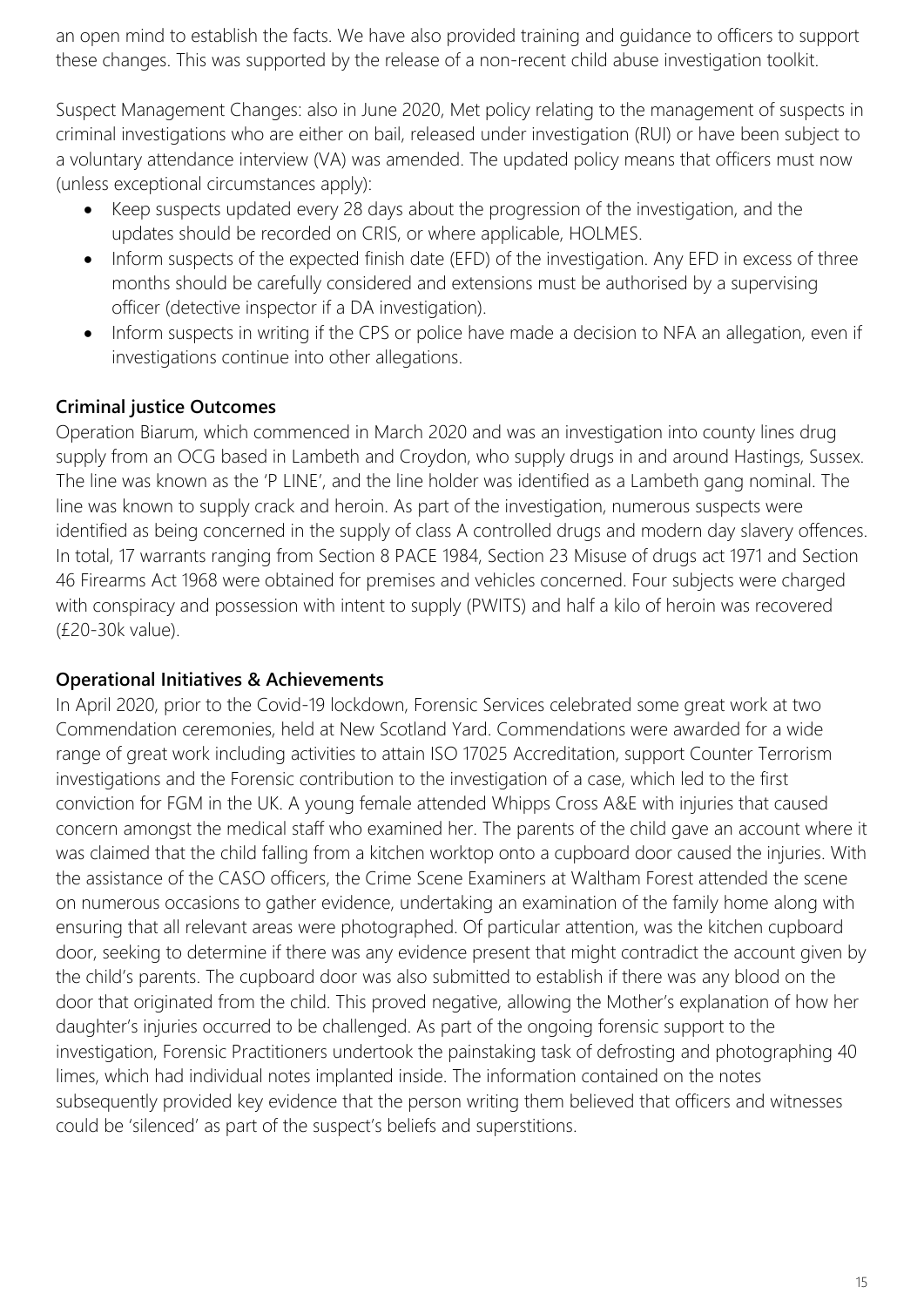an open mind to establish the facts. We have also provided training and guidance to officers to support these changes. This was supported by the release of a non-recent child abuse investigation toolkit.

Suspect Management Changes: also in June 2020, Met policy relating to the management of suspects in criminal investigations who are either on bail, released under investigation (RUI) or have been subject to a voluntary attendance interview (VA) was amended. The updated policy means that officers must now (unless exceptional circumstances apply):

- Keep suspects updated every 28 days about the progression of the investigation, and the updates should be recorded on CRIS, or where applicable, HOLMES.
- Inform suspects of the expected finish date (EFD) of the investigation. Any EFD in excess of three months should be carefully considered and extensions must be authorised by a supervising officer (detective inspector if a DA investigation).
- Inform suspects in writing if the CPS or police have made a decision to NFA an allegation, even if investigations continue into other allegations.

#### **Criminal justice Outcomes**

Operation Biarum, which commenced in March 2020 and was an investigation into county lines drug supply from an OCG based in Lambeth and Croydon, who supply drugs in and around Hastings, Sussex. The line was known as the 'P LINE', and the line holder was identified as a Lambeth gang nominal. The line was known to supply crack and heroin. As part of the investigation, numerous suspects were identified as being concerned in the supply of class A controlled drugs and modern day slavery offences. In total, 17 warrants ranging from Section 8 PACE 1984, Section 23 Misuse of drugs act 1971 and Section 46 Firearms Act 1968 were obtained for premises and vehicles concerned. Four subjects were charged with conspiracy and possession with intent to supply (PWITS) and half a kilo of heroin was recovered (£20-30k value).

#### **Operational Initiatives & Achievements**

In April 2020, prior to the Covid-19 lockdown, Forensic Services celebrated some great work at two Commendation ceremonies, held at New Scotland Yard. Commendations were awarded for a wide range of great work including activities to attain ISO 17025 Accreditation, support Counter Terrorism investigations and the Forensic contribution to the investigation of a case, which led to the first conviction for FGM in the UK. A young female attended Whipps Cross A&E with injuries that caused concern amongst the medical staff who examined her. The parents of the child gave an account where it was claimed that the child falling from a kitchen worktop onto a cupboard door caused the injuries. With the assistance of the CASO officers, the Crime Scene Examiners at Waltham Forest attended the scene on numerous occasions to gather evidence, undertaking an examination of the family home along with ensuring that all relevant areas were photographed. Of particular attention, was the kitchen cupboard door, seeking to determine if there was any evidence present that might contradict the account given by the child's parents. The cupboard door was also submitted to establish if there was any blood on the door that originated from the child. This proved negative, allowing the Mother's explanation of how her daughter's injuries occurred to be challenged. As part of the ongoing forensic support to the investigation, Forensic Practitioners undertook the painstaking task of defrosting and photographing 40 limes, which had individual notes implanted inside. The information contained on the notes subsequently provided key evidence that the person writing them believed that officers and witnesses could be 'silenced' as part of the suspect's beliefs and superstitions.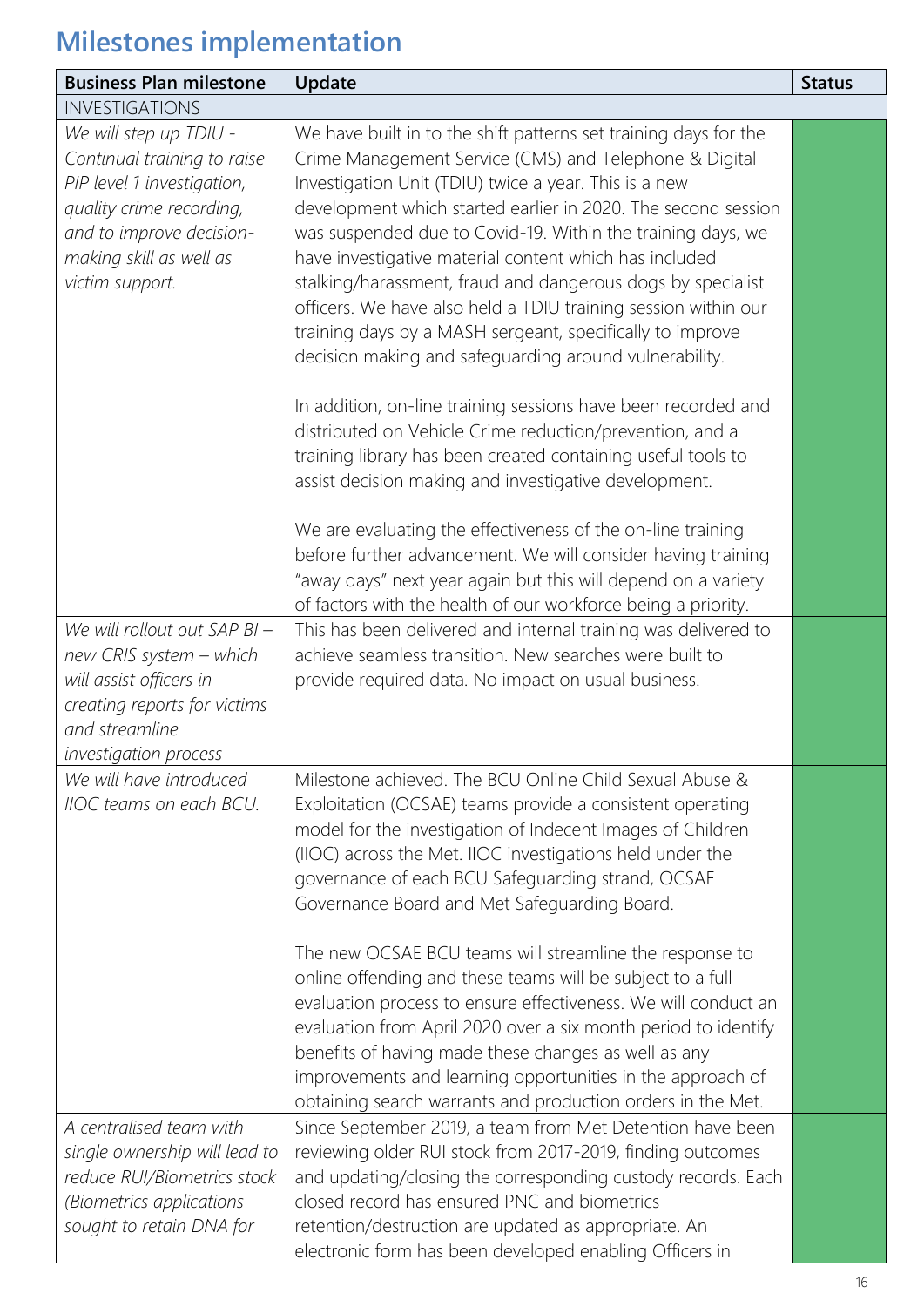| <b>Business Plan milestone</b>                                                                                                                                                                                                                                                                                                    | Update                                                                                                                                                                                                                                                                                                                                                                                                                                                                                                                                                                                                                                                                                                                                                                                                                                                                                                                                                                                                                                                                                                                                                                                                                                                                                                                                           | <b>Status</b> |
|-----------------------------------------------------------------------------------------------------------------------------------------------------------------------------------------------------------------------------------------------------------------------------------------------------------------------------------|--------------------------------------------------------------------------------------------------------------------------------------------------------------------------------------------------------------------------------------------------------------------------------------------------------------------------------------------------------------------------------------------------------------------------------------------------------------------------------------------------------------------------------------------------------------------------------------------------------------------------------------------------------------------------------------------------------------------------------------------------------------------------------------------------------------------------------------------------------------------------------------------------------------------------------------------------------------------------------------------------------------------------------------------------------------------------------------------------------------------------------------------------------------------------------------------------------------------------------------------------------------------------------------------------------------------------------------------------|---------------|
| <b>INVESTIGATIONS</b>                                                                                                                                                                                                                                                                                                             |                                                                                                                                                                                                                                                                                                                                                                                                                                                                                                                                                                                                                                                                                                                                                                                                                                                                                                                                                                                                                                                                                                                                                                                                                                                                                                                                                  |               |
| We will step up TDIU -<br>Continual training to raise<br>PIP level 1 investigation,<br>quality crime recording,<br>and to improve decision-<br>making skill as well as<br>victim support.<br>We will rollout out SAP BI -<br>new CRIS system - which<br>will assist officers in<br>creating reports for victims<br>and streamline | We have built in to the shift patterns set training days for the<br>Crime Management Service (CMS) and Telephone & Digital<br>Investigation Unit (TDIU) twice a year. This is a new<br>development which started earlier in 2020. The second session<br>was suspended due to Covid-19. Within the training days, we<br>have investigative material content which has included<br>stalking/harassment, fraud and dangerous dogs by specialist<br>officers. We have also held a TDIU training session within our<br>training days by a MASH sergeant, specifically to improve<br>decision making and safeguarding around vulnerability.<br>In addition, on-line training sessions have been recorded and<br>distributed on Vehicle Crime reduction/prevention, and a<br>training library has been created containing useful tools to<br>assist decision making and investigative development.<br>We are evaluating the effectiveness of the on-line training<br>before further advancement. We will consider having training<br>"away days" next year again but this will depend on a variety<br>of factors with the health of our workforce being a priority.<br>This has been delivered and internal training was delivered to<br>achieve seamless transition. New searches were built to<br>provide required data. No impact on usual business. |               |
| investigation process<br>We will have introduced<br>IIOC teams on each BCU.<br>A centralised team with                                                                                                                                                                                                                            | Milestone achieved. The BCU Online Child Sexual Abuse &<br>Exploitation (OCSAE) teams provide a consistent operating<br>model for the investigation of Indecent Images of Children<br>(IIOC) across the Met. IIOC investigations held under the<br>governance of each BCU Safeguarding strand, OCSAE<br>Governance Board and Met Safeguarding Board.<br>The new OCSAE BCU teams will streamline the response to<br>online offending and these teams will be subject to a full<br>evaluation process to ensure effectiveness. We will conduct an<br>evaluation from April 2020 over a six month period to identify<br>benefits of having made these changes as well as any<br>improvements and learning opportunities in the approach of<br>obtaining search warrants and production orders in the Met.<br>Since September 2019, a team from Met Detention have been                                                                                                                                                                                                                                                                                                                                                                                                                                                                              |               |
| single ownership will lead to<br>reduce RUI/Biometrics stock<br>(Biometrics applications<br>sought to retain DNA for                                                                                                                                                                                                              | reviewing older RUI stock from 2017-2019, finding outcomes<br>and updating/closing the corresponding custody records. Each<br>closed record has ensured PNC and biometrics<br>retention/destruction are updated as appropriate. An<br>electronic form has been developed enabling Officers in                                                                                                                                                                                                                                                                                                                                                                                                                                                                                                                                                                                                                                                                                                                                                                                                                                                                                                                                                                                                                                                    |               |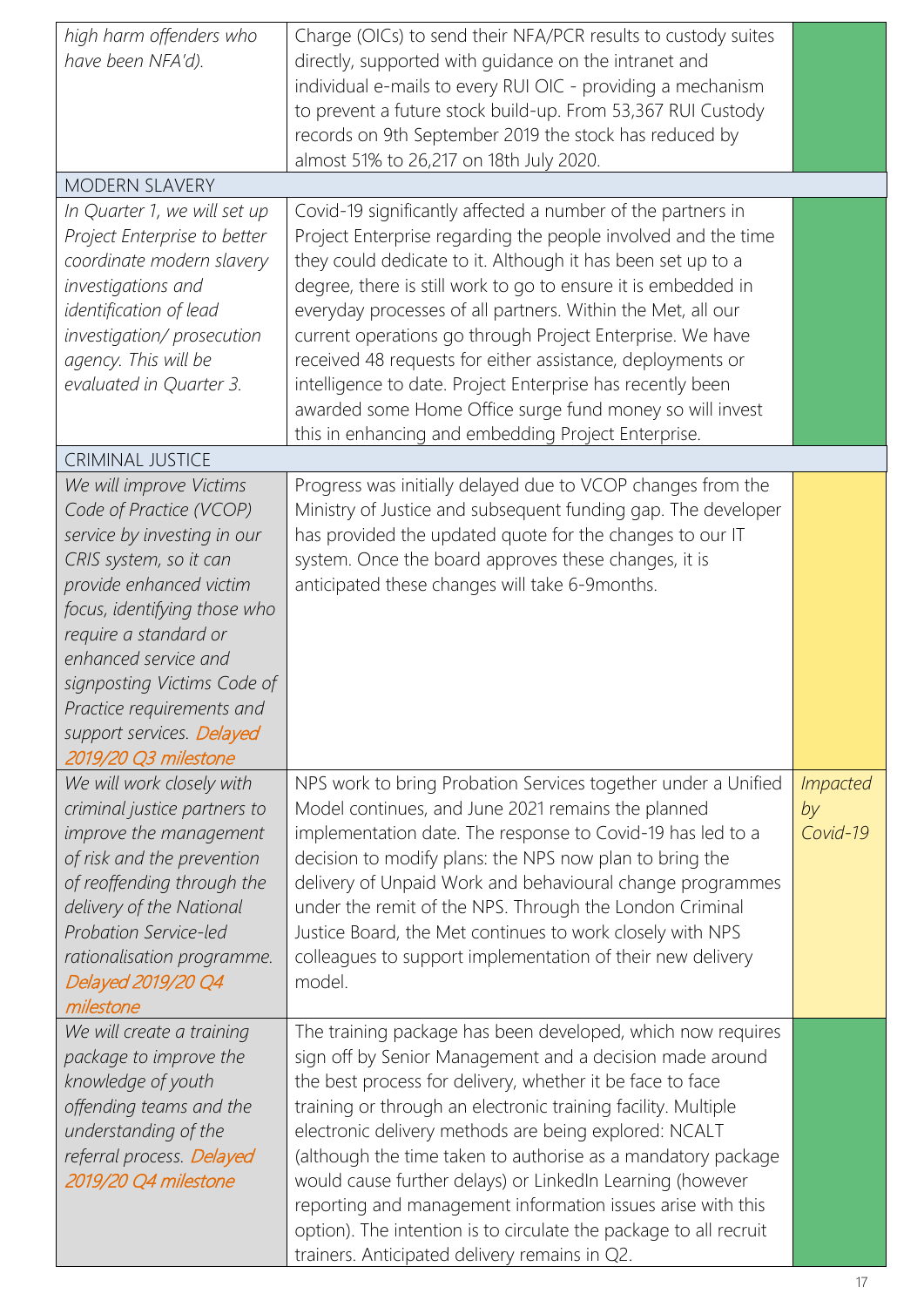| high harm offenders who<br>have been NFA'd).                                                                                                                                                                                                                                                                                             | Charge (OICs) to send their NFA/PCR results to custody suites<br>directly, supported with guidance on the intranet and<br>individual e-mails to every RUI OIC - providing a mechanism<br>to prevent a future stock build-up. From 53,367 RUI Custody<br>records on 9th September 2019 the stock has reduced by<br>almost 51% to 26,217 on 18th July 2020.                                                                                                                                                                                                                                                                               |                                   |
|------------------------------------------------------------------------------------------------------------------------------------------------------------------------------------------------------------------------------------------------------------------------------------------------------------------------------------------|-----------------------------------------------------------------------------------------------------------------------------------------------------------------------------------------------------------------------------------------------------------------------------------------------------------------------------------------------------------------------------------------------------------------------------------------------------------------------------------------------------------------------------------------------------------------------------------------------------------------------------------------|-----------------------------------|
| <b>MODERN SLAVERY</b>                                                                                                                                                                                                                                                                                                                    |                                                                                                                                                                                                                                                                                                                                                                                                                                                                                                                                                                                                                                         |                                   |
| In Quarter 1, we will set up<br>Project Enterprise to better<br>coordinate modern slavery<br>investigations and<br>identification of lead<br>investigation/prosecution<br>agency. This will be<br>evaluated in Quarter 3.                                                                                                                | Covid-19 significantly affected a number of the partners in<br>Project Enterprise regarding the people involved and the time<br>they could dedicate to it. Although it has been set up to a<br>degree, there is still work to go to ensure it is embedded in<br>everyday processes of all partners. Within the Met, all our<br>current operations go through Project Enterprise. We have<br>received 48 requests for either assistance, deployments or<br>intelligence to date. Project Enterprise has recently been<br>awarded some Home Office surge fund money so will invest<br>this in enhancing and embedding Project Enterprise. |                                   |
| <b>CRIMINAL JUSTICE</b>                                                                                                                                                                                                                                                                                                                  |                                                                                                                                                                                                                                                                                                                                                                                                                                                                                                                                                                                                                                         |                                   |
| We will improve Victims<br>Code of Practice (VCOP)<br>service by investing in our<br>CRIS system, so it can<br>provide enhanced victim<br>focus, identifying those who<br>require a standard or<br>enhanced service and<br>signposting Victims Code of<br>Practice requirements and<br>support services. Delayed<br>2019/20 Q3 milestone | Progress was initially delayed due to VCOP changes from the<br>Ministry of Justice and subsequent funding gap. The developer<br>has provided the updated quote for the changes to our IT<br>system. Once the board approves these changes, it is<br>anticipated these changes will take 6-9months.                                                                                                                                                                                                                                                                                                                                      |                                   |
| We will work closely with<br>criminal justice partners to<br>improve the management<br>of risk and the prevention<br>of reoffending through the<br>delivery of the National<br>Probation Service-led<br>rationalisation programme.<br>Delayed 2019/20 Q4<br>milestone                                                                    | NPS work to bring Probation Services together under a Unified<br>Model continues, and June 2021 remains the planned<br>implementation date. The response to Covid-19 has led to a<br>decision to modify plans: the NPS now plan to bring the<br>delivery of Unpaid Work and behavioural change programmes<br>under the remit of the NPS. Through the London Criminal<br>Justice Board, the Met continues to work closely with NPS<br>colleagues to support implementation of their new delivery<br>model.                                                                                                                               | <i>Impacted</i><br>by<br>Covid-19 |
| We will create a training<br>package to improve the<br>knowledge of youth<br>offending teams and the<br>understanding of the<br>referral process. Delayed<br>2019/20 Q4 milestone                                                                                                                                                        | The training package has been developed, which now requires<br>sign off by Senior Management and a decision made around<br>the best process for delivery, whether it be face to face<br>training or through an electronic training facility. Multiple<br>electronic delivery methods are being explored: NCALT<br>(although the time taken to authorise as a mandatory package<br>would cause further delays) or LinkedIn Learning (however<br>reporting and management information issues arise with this<br>option). The intention is to circulate the package to all recruit<br>trainers. Anticipated delivery remains in Q2.        |                                   |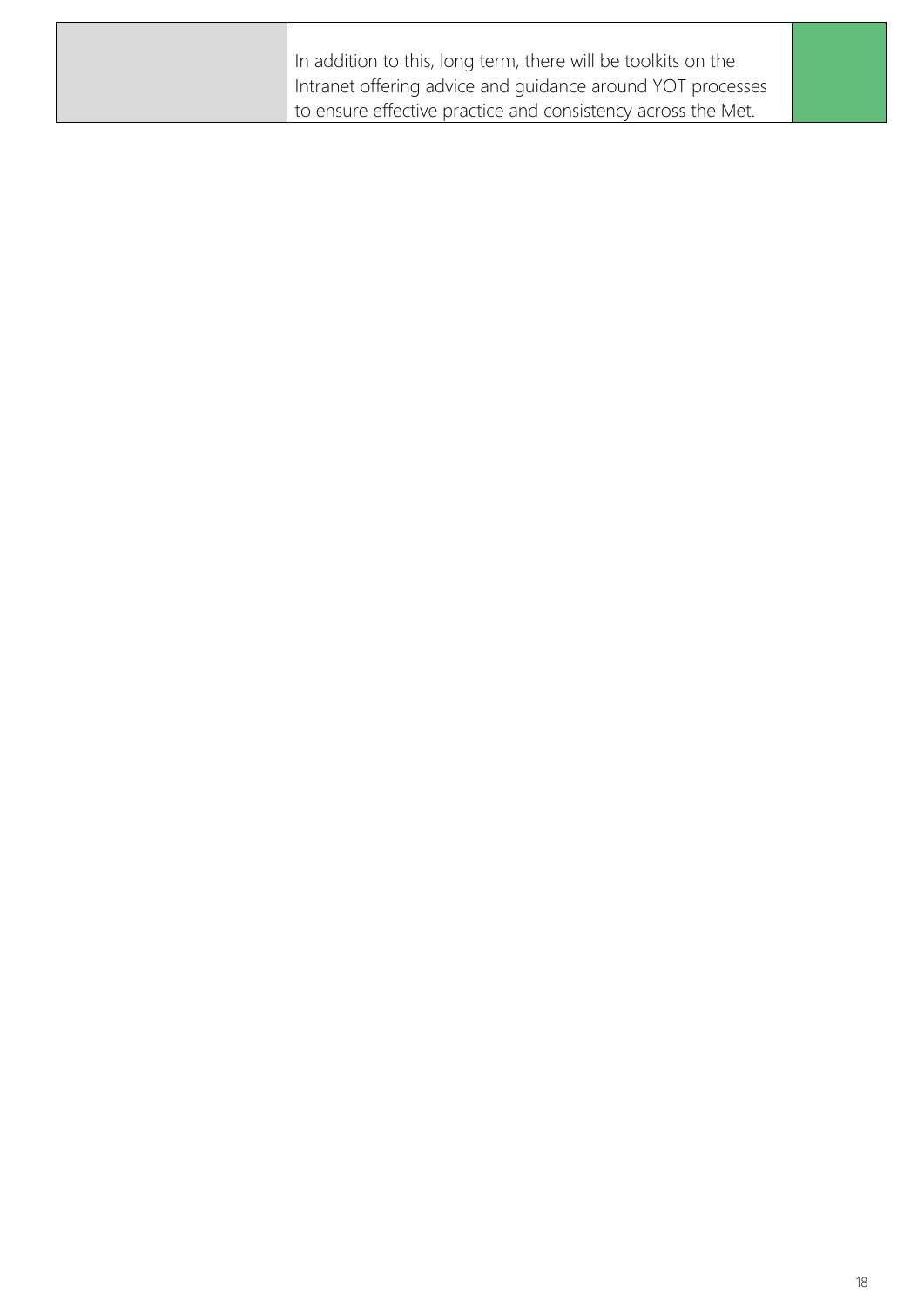| In addition to this, long term, there will be toolkits on the |
|---------------------------------------------------------------|
| Intranet offering advice and guidance around YOT processes    |
| to ensure effective practice and consistency across the Met.  |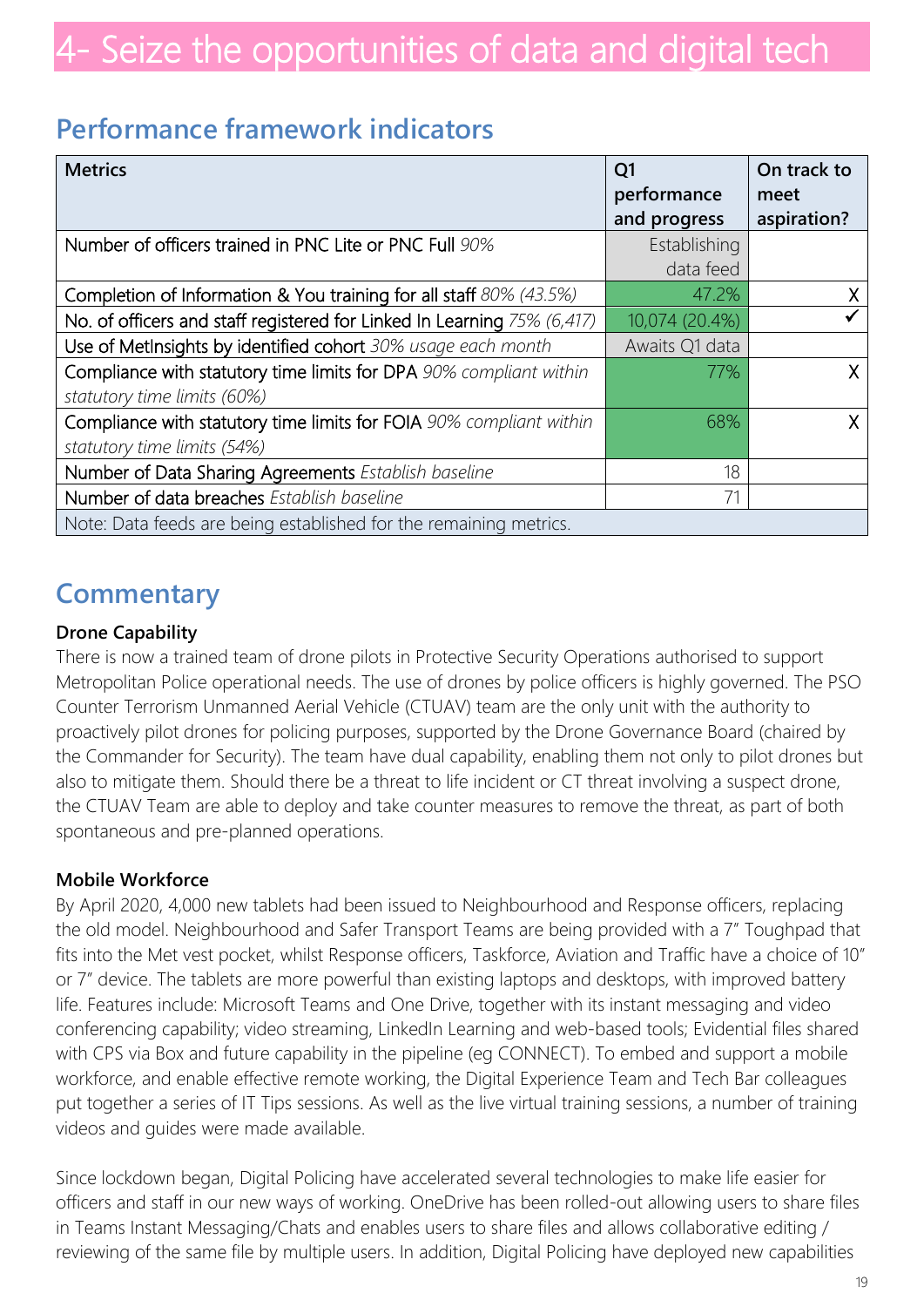### **Performance framework indicators**

| <b>Metrics</b>                                                          | Q <sub>1</sub> | On track to |
|-------------------------------------------------------------------------|----------------|-------------|
|                                                                         | performance    | meet        |
|                                                                         | and progress   | aspiration? |
| Number of officers trained in PNC Lite or PNC Full 90%                  | Establishing   |             |
|                                                                         | data feed      |             |
| Completion of Information & You training for all staff 80% (43.5%)      | 47.2%          |             |
| No. of officers and staff registered for Linked In Learning 75% (6,417) | 10,074 (20.4%) |             |
| Use of MetInsights by identified cohort 30% usage each month            | Awaits Q1 data |             |
| Compliance with statutory time limits for DPA 90% compliant within      | 77%            |             |
| statutory time limits (60%)                                             |                |             |
| Compliance with statutory time limits for FOIA 90% compliant within     | 68%            |             |
| statutory time limits (54%)                                             |                |             |
| Number of Data Sharing Agreements Establish baseline                    | 18             |             |
| Number of data breaches Establish baseline                              | 71             |             |
| Note: Data feeds are being established for the remaining metrics.       |                |             |

### **Commentary**

#### **Drone Capability**

There is now a trained team of drone pilots in Protective Security Operations authorised to support Metropolitan Police operational needs. The use of drones by police officers is highly governed. The PSO Counter Terrorism Unmanned Aerial Vehicle (CTUAV) team are the only unit with the authority to proactively pilot drones for policing purposes, supported by the Drone Governance Board (chaired by the Commander for Security). The team have dual capability, enabling them not only to pilot drones but also to mitigate them. Should there be a threat to life incident or CT threat involving a suspect drone, the CTUAV Team are able to deploy and take counter measures to remove the threat, as part of both spontaneous and pre-planned operations.

#### **Mobile Workforce**

By April 2020, 4,000 new tablets had been issued to Neighbourhood and Response officers, replacing the old model. Neighbourhood and Safer Transport Teams are being provided with a 7" Toughpad that fits into the Met vest pocket, whilst Response officers, Taskforce, Aviation and Traffic have a choice of 10" or 7" device. The tablets are more powerful than existing laptops and desktops, with improved battery life. Features include: Microsoft Teams and One Drive, together with its instant messaging and video conferencing capability; video streaming, LinkedIn Learning and web-based tools; Evidential files shared with CPS via Box and future capability in the pipeline (eg CONNECT). To embed and support a mobile workforce, and enable effective remote working, the Digital Experience Team and Tech Bar colleagues put together a series of IT Tips sessions. As well as the live virtual training sessions, a number of training videos and guides were made available.

Since lockdown began, Digital Policing have accelerated several technologies to make life easier for officers and staff in our new ways of working. OneDrive has been rolled-out allowing users to share files in Teams Instant Messaging/Chats and enables users to share files and allows collaborative editing / reviewing of the same file by multiple users. In addition, Digital Policing have deployed new capabilities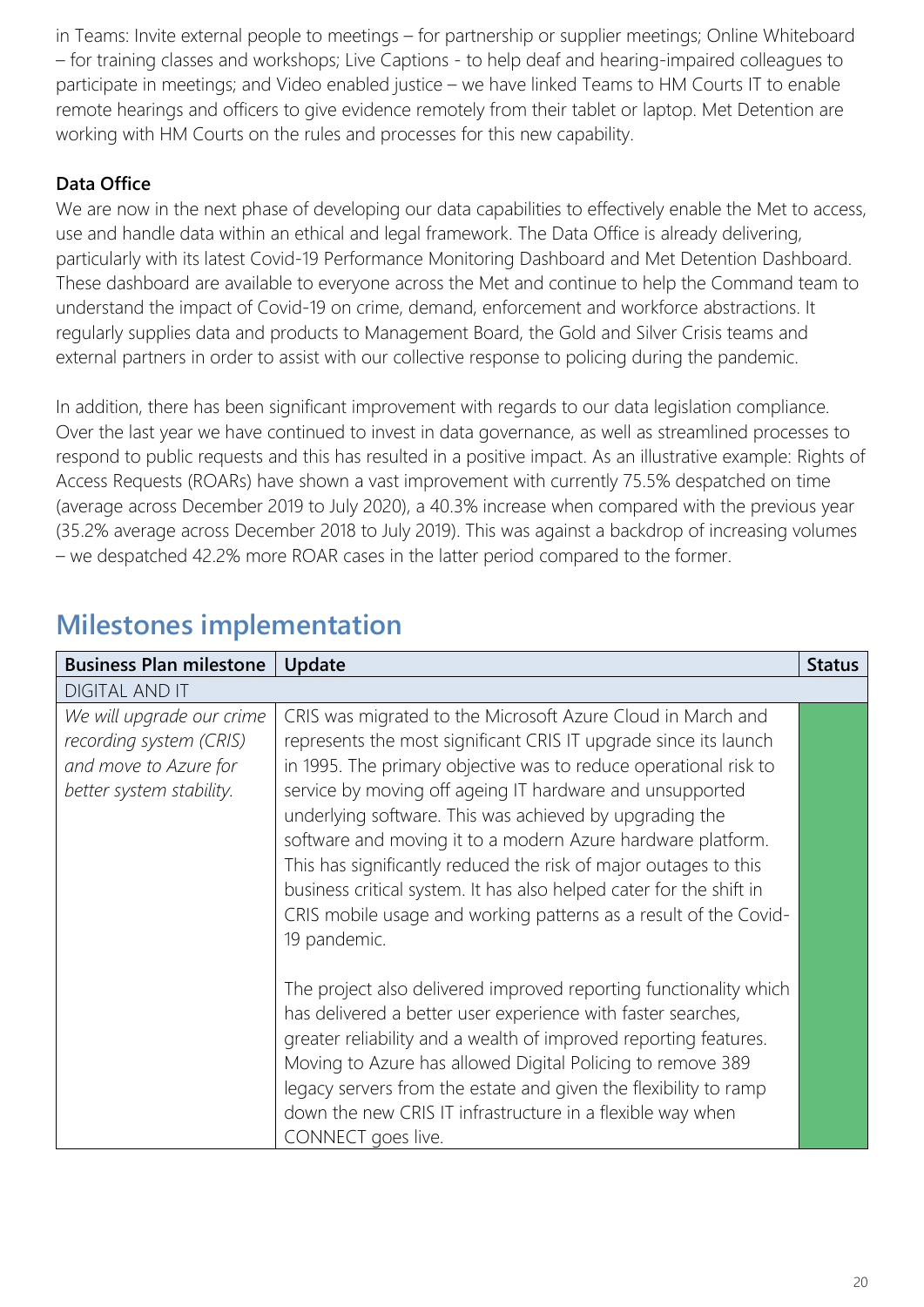in Teams: Invite external people to meetings – for partnership or supplier meetings; Online Whiteboard – for training classes and workshops; Live Captions - to help deaf and hearing-impaired colleagues to participate in meetings; and Video enabled justice – we have linked Teams to HM Courts IT to enable remote hearings and officers to give evidence remotely from their tablet or laptop. Met Detention are working with HM Courts on the rules and processes for this new capability.

#### **Data Office**

We are now in the next phase of developing our data capabilities to effectively enable the Met to access, use and handle data within an ethical and legal framework. The Data Office is already delivering, particularly with its latest Covid-19 Performance Monitoring Dashboard and Met Detention Dashboard. These dashboard are available to everyone across the Met and continue to help the Command team to understand the impact of Covid-19 on crime, demand, enforcement and workforce abstractions. It regularly supplies data and products to Management Board, the Gold and Silver Crisis teams and external partners in order to assist with our collective response to policing during the pandemic.

In addition, there has been significant improvement with regards to our data legislation compliance. Over the last year we have continued to invest in data governance, as well as streamlined processes to respond to public requests and this has resulted in a positive impact. As an illustrative example: Rights of Access Requests (ROARs) have shown a vast improvement with currently 75.5% despatched on time (average across December 2019 to July 2020), a 40.3% increase when compared with the previous year (35.2% average across December 2018 to July 2019). This was against a backdrop of increasing volumes – we despatched 42.2% more ROAR cases in the latter period compared to the former.

| <b>Business Plan milestone</b>                                                                            | Update                                                                                                                                                                                                                                                                                                                                                                                                                                                                                                                                                                                                                   | <b>Status</b> |
|-----------------------------------------------------------------------------------------------------------|--------------------------------------------------------------------------------------------------------------------------------------------------------------------------------------------------------------------------------------------------------------------------------------------------------------------------------------------------------------------------------------------------------------------------------------------------------------------------------------------------------------------------------------------------------------------------------------------------------------------------|---------------|
| <b>DIGITAL AND IT</b>                                                                                     |                                                                                                                                                                                                                                                                                                                                                                                                                                                                                                                                                                                                                          |               |
| We will upgrade our crime<br>recording system (CRIS)<br>and move to Azure for<br>better system stability. | CRIS was migrated to the Microsoft Azure Cloud in March and<br>represents the most significant CRIS IT upgrade since its launch<br>in 1995. The primary objective was to reduce operational risk to<br>service by moving off ageing IT hardware and unsupported<br>underlying software. This was achieved by upgrading the<br>software and moving it to a modern Azure hardware platform.<br>This has significantly reduced the risk of major outages to this<br>business critical system. It has also helped cater for the shift in<br>CRIS mobile usage and working patterns as a result of the Covid-<br>19 pandemic. |               |
|                                                                                                           | The project also delivered improved reporting functionality which<br>has delivered a better user experience with faster searches,<br>greater reliability and a wealth of improved reporting features.<br>Moving to Azure has allowed Digital Policing to remove 389<br>legacy servers from the estate and given the flexibility to ramp<br>down the new CRIS IT infrastructure in a flexible way when<br>CONNECT goes live.                                                                                                                                                                                              |               |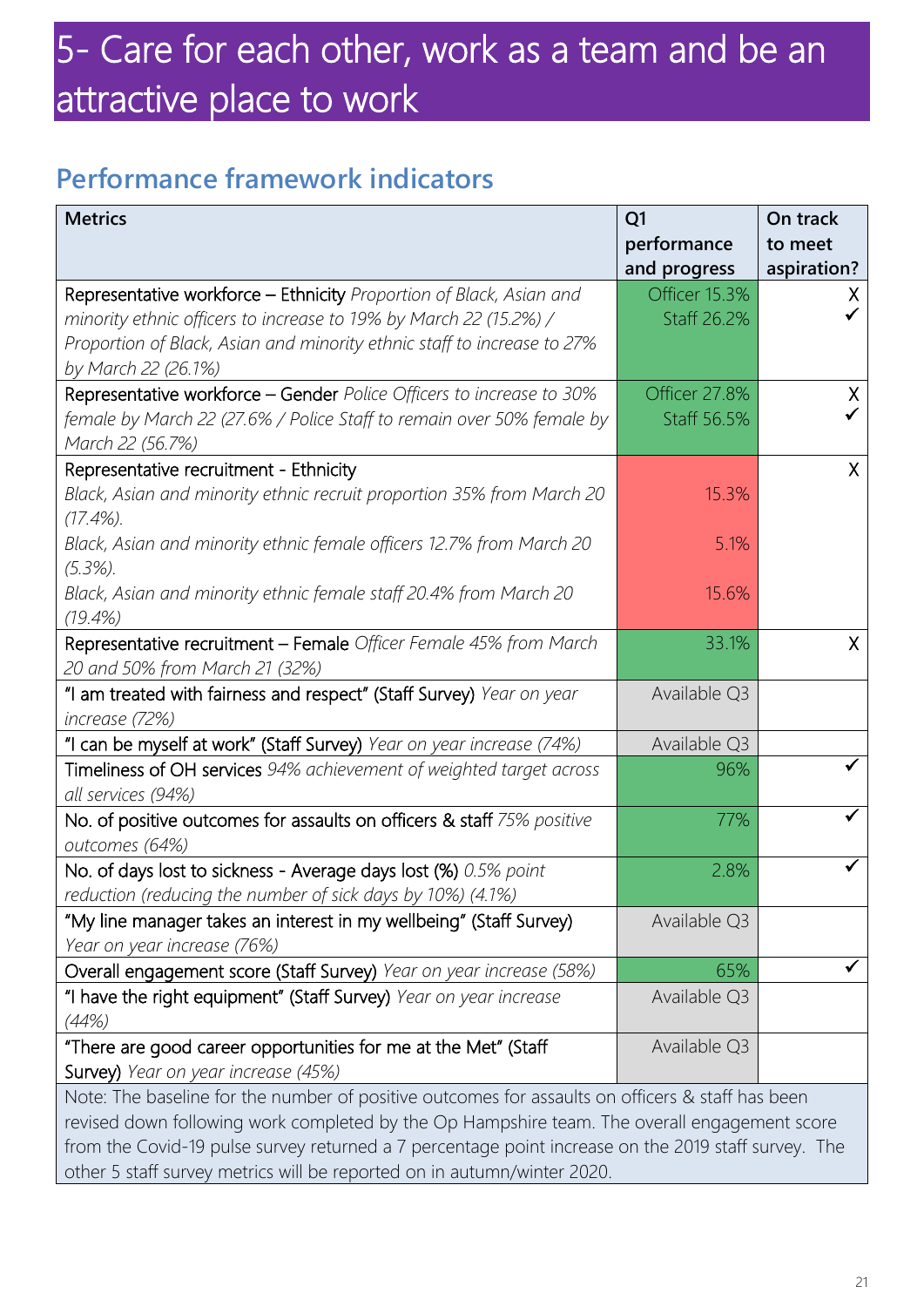## 5- Care for each other, work as a team and be an attractive place to work

### **Performance framework indicators**

| <b>Metrics</b>                                                                                                                                | Q <sub>1</sub><br>performance | On track<br>to meet |
|-----------------------------------------------------------------------------------------------------------------------------------------------|-------------------------------|---------------------|
|                                                                                                                                               | and progress                  | aspiration?         |
| Representative workforce - Ethnicity Proportion of Black, Asian and                                                                           | Officer 15.3%                 | X.                  |
| minority ethnic officers to increase to 19% by March 22 (15.2%) /                                                                             | Staff 26.2%                   |                     |
| Proportion of Black, Asian and minority ethnic staff to increase to 27%<br>by March 22 (26.1%)                                                |                               |                     |
|                                                                                                                                               | Officer 27.8%                 | X                   |
| Representative workforce - Gender Police Officers to increase to 30%<br>female by March 22 (27.6% / Police Staff to remain over 50% female by | Staff 56.5%                   |                     |
| March 22 (56.7%)                                                                                                                              |                               |                     |
| Representative recruitment - Ethnicity                                                                                                        |                               | X                   |
| Black, Asian and minority ethnic recruit proportion 35% from March 20                                                                         | 15.3%                         |                     |
| $(17.4\%)$ .                                                                                                                                  |                               |                     |
| Black, Asian and minority ethnic female officers 12.7% from March 20                                                                          | 5.1%                          |                     |
| $(5.3\%)$ .                                                                                                                                   |                               |                     |
| Black, Asian and minority ethnic female staff 20.4% from March 20                                                                             | 15.6%                         |                     |
| $(19.4\%)$                                                                                                                                    |                               |                     |
| Representative recruitment - Female Officer Female 45% from March                                                                             | 33.1%                         | X                   |
| 20 and 50% from March 21 (32%)                                                                                                                |                               |                     |
| "I am treated with fairness and respect" (Staff Survey) Year on year                                                                          | Available Q3                  |                     |
| increase (72%)                                                                                                                                |                               |                     |
| "I can be myself at work" (Staff Survey) Year on year increase (74%)                                                                          | Available Q3                  |                     |
| Timeliness of OH services 94% achievement of weighted target across                                                                           | 96%                           |                     |
| all services (94%)                                                                                                                            |                               |                     |
| No. of positive outcomes for assaults on officers & staff 75% positive                                                                        | 77%                           |                     |
| outcomes (64%)                                                                                                                                |                               |                     |
| No. of days lost to sickness - Average days lost (%) 0.5% point                                                                               | 2.8%                          |                     |
| reduction (reducing the number of sick days by 10%) (4.1%)                                                                                    |                               |                     |
| "My line manager takes an interest in my wellbeing" (Staff Survey)                                                                            | Available Q3                  |                     |
| Year on year increase (76%)                                                                                                                   |                               |                     |
| Overall engagement score (Staff Survey) Year on year increase (58%)                                                                           | 65%                           |                     |
| "I have the right equipment" (Staff Survey) Year on year increase                                                                             | Available Q3                  |                     |
| (44%)                                                                                                                                         |                               |                     |
| "There are good career opportunities for me at the Met" (Staff                                                                                | Available Q3                  |                     |
| Survey) Year on year increase (45%)                                                                                                           |                               |                     |
| Note: The baseline for the number of positive outcomes for assaults on officers & staff has been                                              |                               |                     |

revised down following work completed by the Op Hampshire team. The overall engagement score from the Covid-19 pulse survey returned a 7 percentage point increase on the 2019 staff survey. The other 5 staff survey metrics will be reported on in autumn/winter 2020.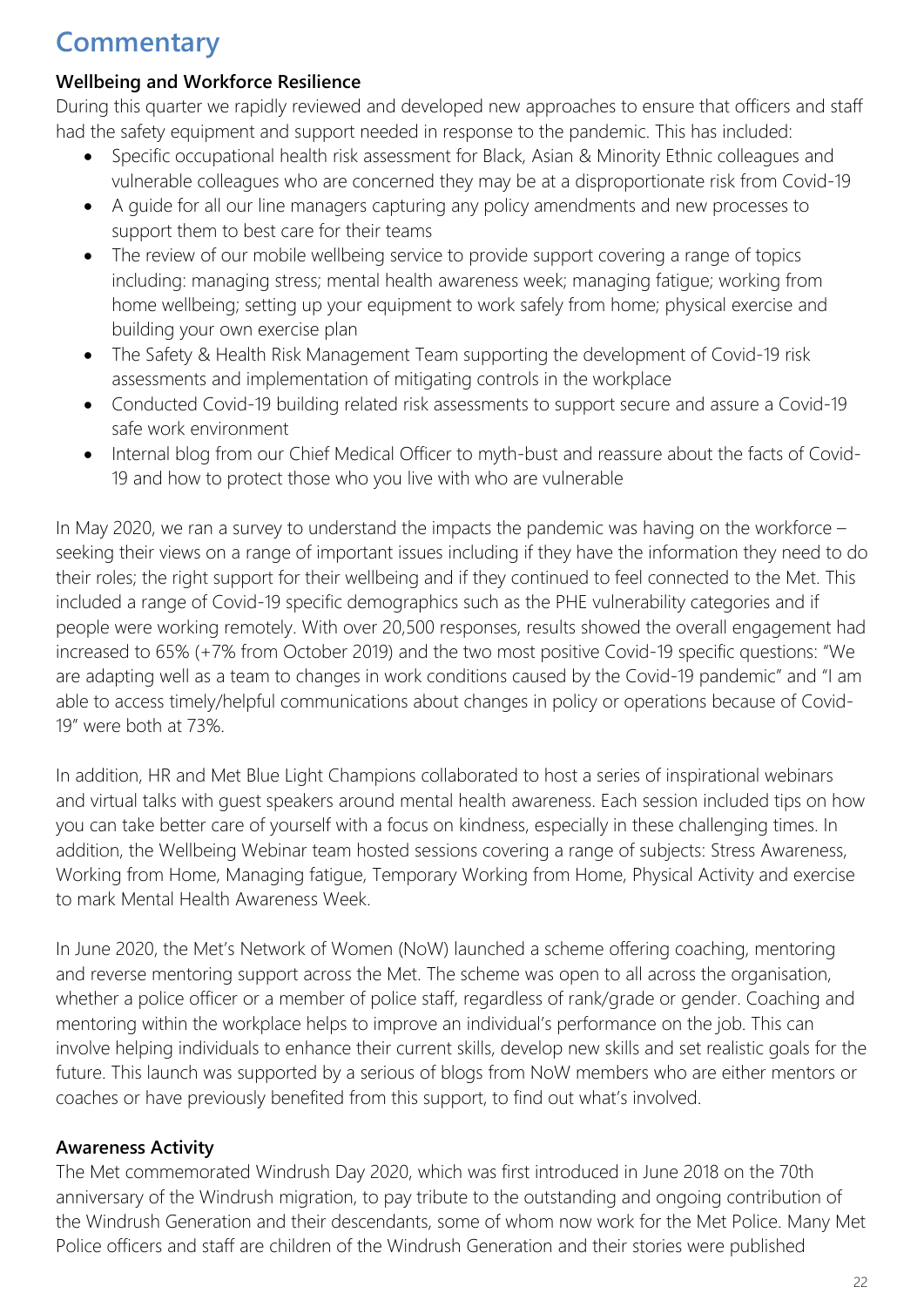### **Commentary**

#### **Wellbeing and Workforce Resilience**

During this quarter we rapidly reviewed and developed new approaches to ensure that officers and staff had the safety equipment and support needed in response to the pandemic. This has included:

- Specific occupational health risk assessment for Black, Asian & Minority Ethnic colleagues and vulnerable colleagues who are concerned they may be at a disproportionate risk from Covid-19
- A guide for all our line managers capturing any policy amendments and new processes to support them to best care for their teams
- The review of our mobile wellbeing service to provide support covering a range of topics including: managing stress; mental health awareness week; managing fatigue; working from home wellbeing; setting up your equipment to work safely from home; physical exercise and building your own exercise plan
- The Safety & Health Risk Management Team supporting the development of Covid-19 risk assessments and implementation of mitigating controls in the workplace
- Conducted Covid-19 building related risk assessments to support secure and assure a Covid-19 safe work environment
- Internal blog from our Chief Medical Officer to myth-bust and reassure about the facts of Covid-19 and how to protect those who you live with who are vulnerable

In May 2020, we ran a survey to understand the impacts the pandemic was having on the workforce – seeking their views on a range of important issues including if they have the information they need to do their roles; the right support for their wellbeing and if they continued to feel connected to the Met. This included a range of Covid-19 specific demographics such as the PHE vulnerability categories and if people were working remotely. With over 20,500 responses, results showed the overall engagement had increased to 65% (+7% from October 2019) and the two most positive Covid-19 specific questions: "We are adapting well as a team to changes in work conditions caused by the Covid-19 pandemic" and "I am able to access timely/helpful communications about changes in policy or operations because of Covid-19" were both at 73%.

In addition, HR and Met Blue Light Champions collaborated to host a series of inspirational webinars and virtual talks with guest speakers around mental health awareness. Each session included tips on how you can take better care of yourself with a focus on kindness, especially in these challenging times. In addition, the Wellbeing Webinar team hosted sessions covering a range of subjects: Stress Awareness, Working from Home, Managing fatigue, Temporary Working from Home, Physical Activity and exercise to mark Mental Health Awareness Week.

In June 2020, the Met's Network of Women (NoW) launched a scheme offering coaching, mentoring and reverse mentoring support across the Met. The scheme was open to all across the organisation, whether a police officer or a member of police staff, regardless of rank/grade or gender. Coaching and mentoring within the workplace helps to improve an individual's performance on the job. This can involve helping individuals to enhance their current skills, develop new skills and set realistic goals for the future. This launch was supported by a serious of blogs from NoW members who are either mentors or coaches or have previously benefited from this support, to find out what's involved.

#### **Awareness Activity**

The Met commemorated Windrush Day 2020, which was first introduced in June 2018 on the 70th anniversary of the Windrush migration, to pay tribute to the outstanding and ongoing contribution of the Windrush Generation and their descendants, some of whom now work for the Met Police. Many Met Police officers and staff are children of the Windrush Generation and their stories were published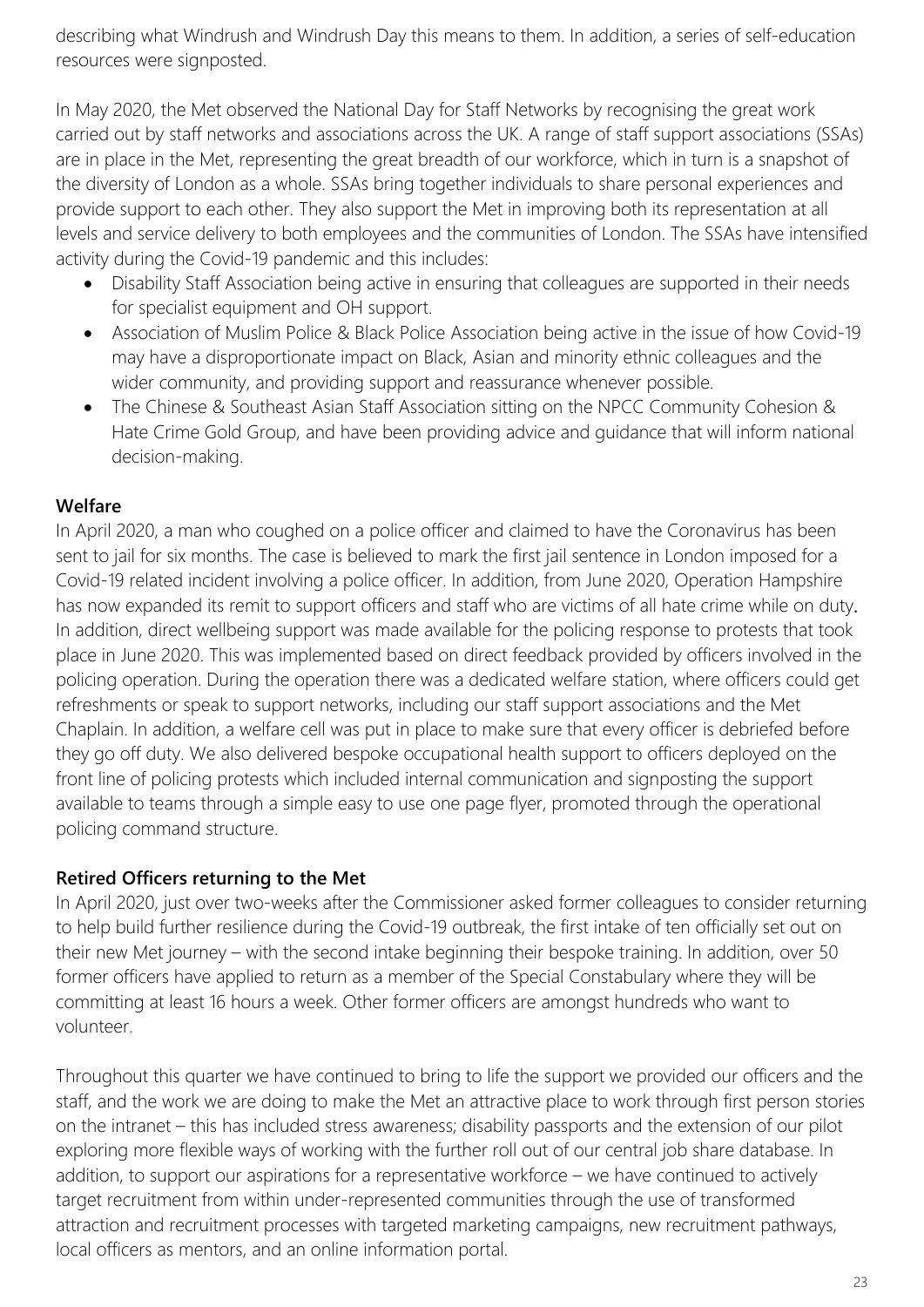describing what Windrush and Windrush Day this means to them. In addition, a series of self-education resources were signposted.

In May 2020, the Met observed the National Day for Staff Networks by recognising the great work carried out by staff networks and associations across the UK. A range of staff support associations (SSAs) are in place in the Met, representing the great breadth of our workforce, which in turn is a snapshot of the diversity of London as a whole. SSAs bring together individuals to share personal experiences and provide support to each other. They also support the Met in improving both its representation at all levels and service delivery to both employees and the communities of London. The SSAs have intensified activity during the Covid-19 pandemic and this includes:

- Disability Staff Association being active in ensuring that colleagues are supported in their needs for specialist equipment and OH support.
- Association of Muslim Police & Black Police Association being active in the issue of how Covid-19 may have a disproportionate impact on Black, Asian and minority ethnic colleagues and the wider community, and providing support and reassurance whenever possible.
- The Chinese & Southeast Asian Staff Association sitting on the NPCC Community Cohesion & Hate Crime Gold Group, and have been providing advice and guidance that will inform national decision-making.

#### **Welfare**

In April 2020, a man who coughed on a police officer and claimed to have the Coronavirus has been sent to jail for six months. The case is believed to mark the first jail sentence in London imposed for a Covid-19 related incident involving a police officer. In addition, from June 2020, Operation Hampshire has now expanded its remit to support officers and staff who are victims of all hate crime while on duty. In addition, direct wellbeing support was made available for the policing response to protests that took place in June 2020. This was implemented based on direct feedback provided by officers involved in the policing operation. During the operation there was a dedicated welfare station, where officers could get refreshments or speak to support networks, including our staff support associations and the Met Chaplain. In addition, a welfare cell was put in place to make sure that every officer is debriefed before they go off duty. We also delivered bespoke occupational health support to officers deployed on the front line of policing protests which included internal communication and signposting the support available to teams through a simple easy to use one page flyer, promoted through the operational policing command structure.

#### **Retired Officers returning to the Met**

In April 2020, just over two-weeks after the Commissioner asked former colleagues to consider returning to help build further resilience during the Covid-19 outbreak, the first intake of ten officially set out on their new Met journey – with the second intake beginning their bespoke training. In addition, over 50 former officers have applied to return as a member of the Special Constabulary where they will be committing at least 16 hours a week. Other former officers are amongst hundreds who want to volunteer.

Throughout this quarter we have continued to bring to life the support we provided our officers and the staff, and the work we are doing to make the Met an attractive place to work through first person stories on the intranet – this has included stress awareness; disability passports and the extension of our pilot exploring more flexible ways of working with the further roll out of our central job share database. In addition, to support our aspirations for a representative workforce – we have continued to actively target recruitment from within under-represented communities through the use of transformed attraction and recruitment processes with targeted marketing campaigns, new recruitment pathways, local officers as mentors, and an online information portal.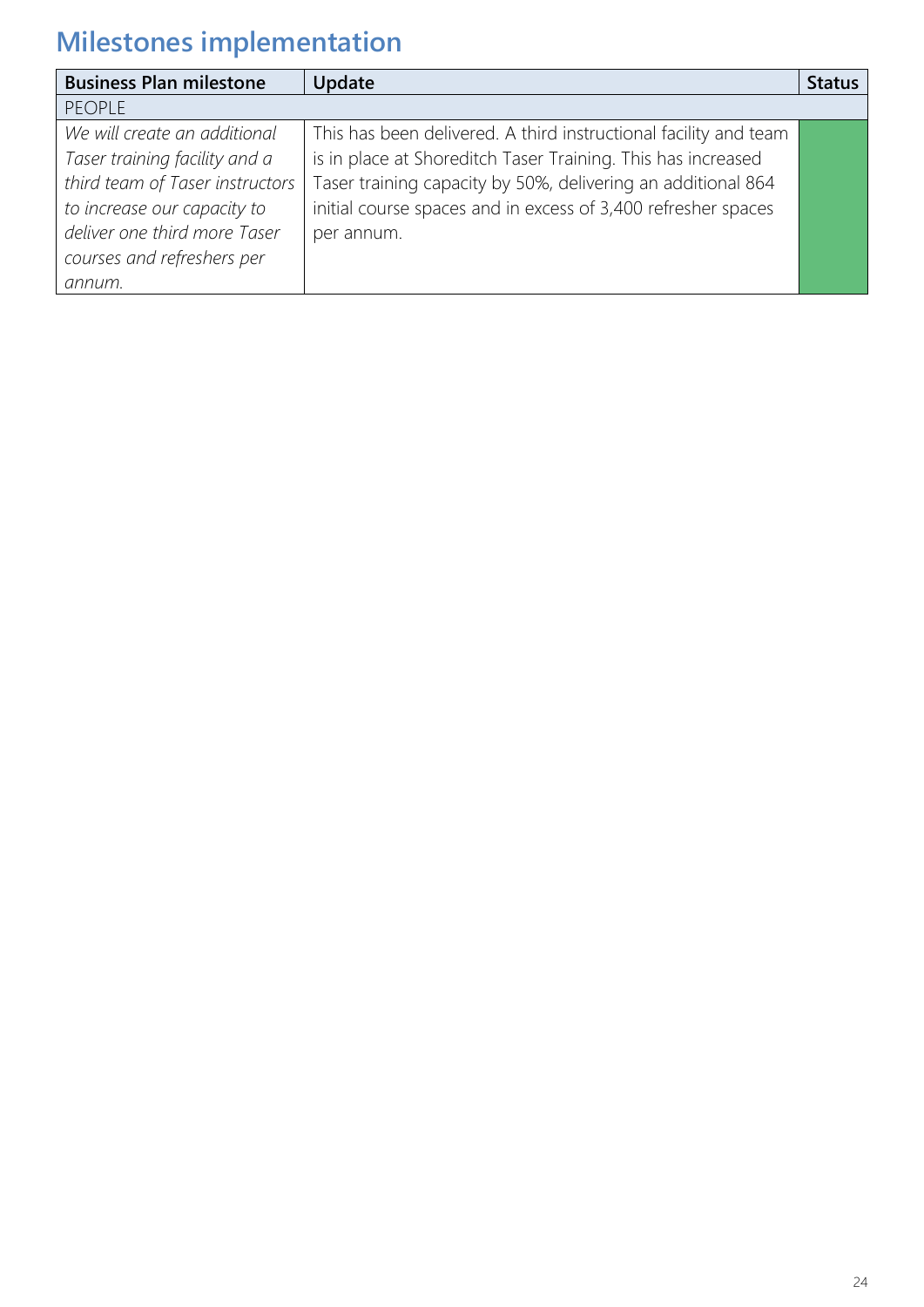| <b>Business Plan milestone</b>  | Update                                                           | <b>Status</b> |
|---------------------------------|------------------------------------------------------------------|---------------|
| <b>PEOPLE</b>                   |                                                                  |               |
| We will create an additional    | This has been delivered. A third instructional facility and team |               |
| Taser training facility and a   | is in place at Shoreditch Taser Training. This has increased     |               |
| third team of Taser instructors | Taser training capacity by 50%, delivering an additional 864     |               |
| to increase our capacity to     | initial course spaces and in excess of 3,400 refresher spaces    |               |
| deliver one third more Taser    | per annum.                                                       |               |
| courses and refreshers per      |                                                                  |               |
| annum.                          |                                                                  |               |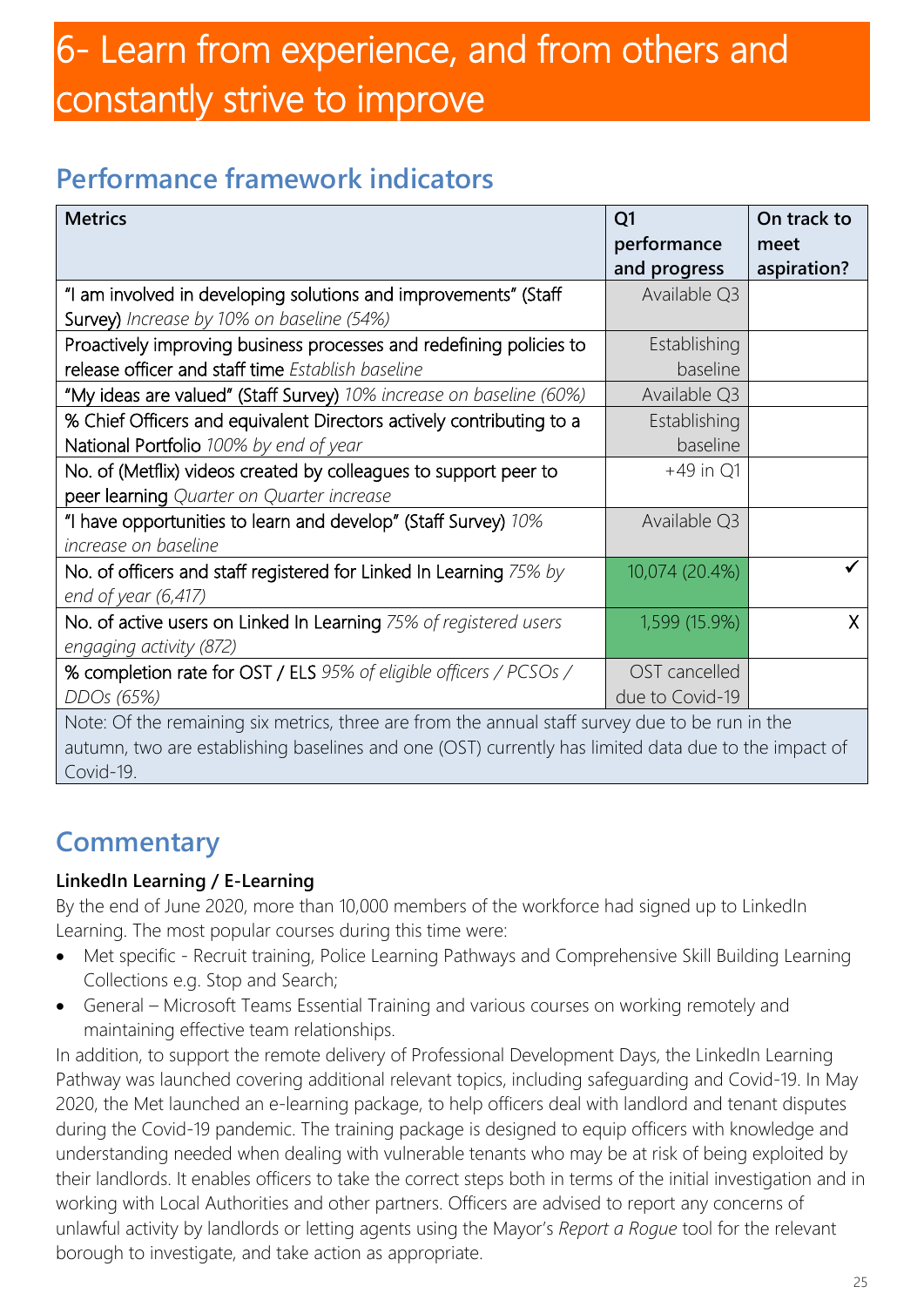## 6- Learn from experience, and from others and constantly strive to improve

### **Performance framework indicators**

| <b>Metrics</b>                                                                                                                                                                                                       | Q <sub>1</sub><br>performance    | On track to<br>meet |
|----------------------------------------------------------------------------------------------------------------------------------------------------------------------------------------------------------------------|----------------------------------|---------------------|
|                                                                                                                                                                                                                      | and progress                     | aspiration?         |
| "I am involved in developing solutions and improvements" (Staff<br>Survey) Increase by 10% on baseline (54%)                                                                                                         | Available Q3                     |                     |
| Proactively improving business processes and redefining policies to<br>release officer and staff time Establish baseline                                                                                             | Establishing<br>baseline         |                     |
| "My ideas are valued" (Staff Survey) 10% increase on baseline (60%)                                                                                                                                                  | Available Q3                     |                     |
| % Chief Officers and equivalent Directors actively contributing to a<br>National Portfolio 100% by end of year                                                                                                       | Establishing<br>baseline         |                     |
| No. of (Metflix) videos created by colleagues to support peer to<br>peer learning Quarter on Quarter increase                                                                                                        | $+49$ in Q1                      |                     |
| "I have opportunities to learn and develop" (Staff Survey) 10%<br>increase on baseline                                                                                                                               | Available Q3                     |                     |
| No. of officers and staff registered for Linked In Learning 75% by<br>end of year (6,417)                                                                                                                            | 10,074 (20.4%)                   |                     |
| No. of active users on Linked In Learning 75% of registered users<br>engaging activity (872)                                                                                                                         | 1,599 (15.9%)                    | $\mathsf{X}$        |
| % completion rate for OST / ELS 95% of eligible officers / PCSOs /<br>DDOs (65%)                                                                                                                                     | OST cancelled<br>due to Covid-19 |                     |
| Note: Of the remaining six metrics, three are from the annual staff survey due to be run in the<br>autumn, two are establishing baselines and one (OST) currently has limited data due to the impact of<br>Covid-19. |                                  |                     |

### **Commentary**

#### **LinkedIn Learning / E-Learning**

By the end of June 2020, more than 10,000 members of the workforce had signed up to LinkedIn Learning. The most popular courses during this time were:

- Met specific Recruit training, Police Learning Pathways and Comprehensive Skill Building Learning Collections e.g. Stop and Search;
- General Microsoft Teams Essential Training and various courses on working remotely and maintaining effective team relationships.

In addition, to support the remote delivery of Professional Development Days, the LinkedIn Learning Pathway was launched covering additional relevant topics, including safeguarding and Covid-19. In May 2020, the Met launched an e-learning package, to help officers deal with landlord and tenant disputes during the Covid-19 pandemic. The training package is designed to equip officers with knowledge and understanding needed when dealing with vulnerable tenants who may be at risk of being exploited by their landlords. It enables officers to take the correct steps both in terms of the initial investigation and in working with Local Authorities and other partners. Officers are advised to report any concerns of unlawful activity by landlords or letting agents using the Mayor's *Report a Rogue* tool for the relevant borough to investigate, and take action as appropriate.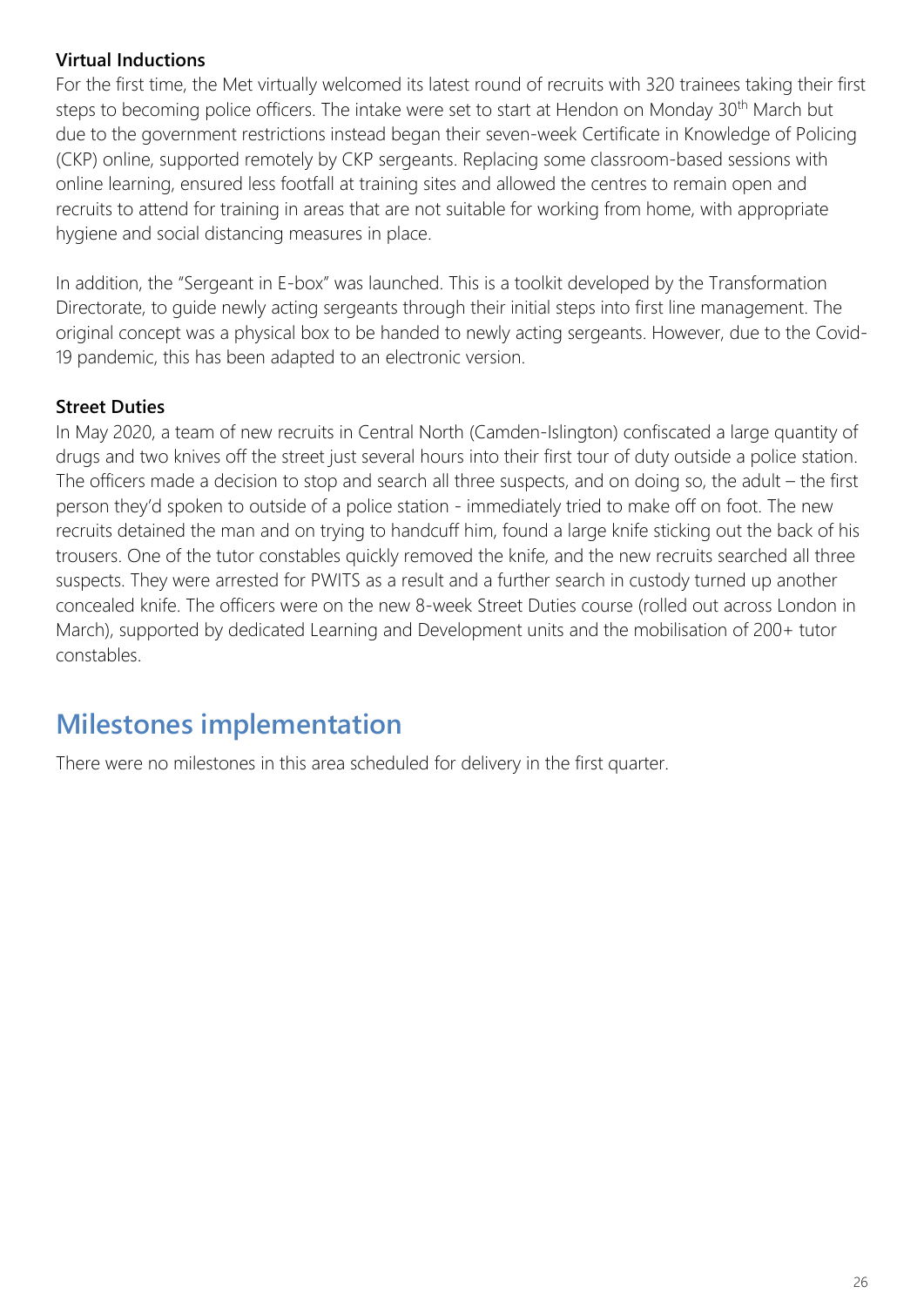#### **Virtual Inductions**

For the first time, the Met virtually welcomed its latest round of recruits with 320 trainees taking their first steps to becoming police officers. The intake were set to start at Hendon on Monday 30<sup>th</sup> March but due to the government restrictions instead began their seven-week Certificate in Knowledge of Policing (CKP) online, supported remotely by CKP sergeants. Replacing some classroom-based sessions with online learning, ensured less footfall at training sites and allowed the centres to remain open and recruits to attend for training in areas that are not suitable for working from home, with appropriate hygiene and social distancing measures in place.

In addition, the "Sergeant in E-box" was launched. This is a toolkit developed by the Transformation Directorate, to guide newly acting sergeants through their initial steps into first line management. The original concept was a physical box to be handed to newly acting sergeants. However, due to the Covid-19 pandemic, this has been adapted to an electronic version.

#### **Street Duties**

In May 2020, a team of new recruits in Central North (Camden-Islington) confiscated a large quantity of drugs and two knives off the street just several hours into their first tour of duty outside a police station. The officers made a decision to stop and search all three suspects, and on doing so, the adult – the first person they'd spoken to outside of a police station - immediately tried to make off on foot. The new recruits detained the man and on trying to handcuff him, found a large knife sticking out the back of his trousers. One of the tutor constables quickly removed the knife, and the new recruits searched all three suspects. They were arrested for PWITS as a result and a further search in custody turned up another concealed knife. The officers were on the new 8-week Street Duties course (rolled out across London in March), supported by dedicated Learning and Development units and the mobilisation of 200+ tutor constables.

### **Milestones implementation**

There were no milestones in this area scheduled for delivery in the first quarter.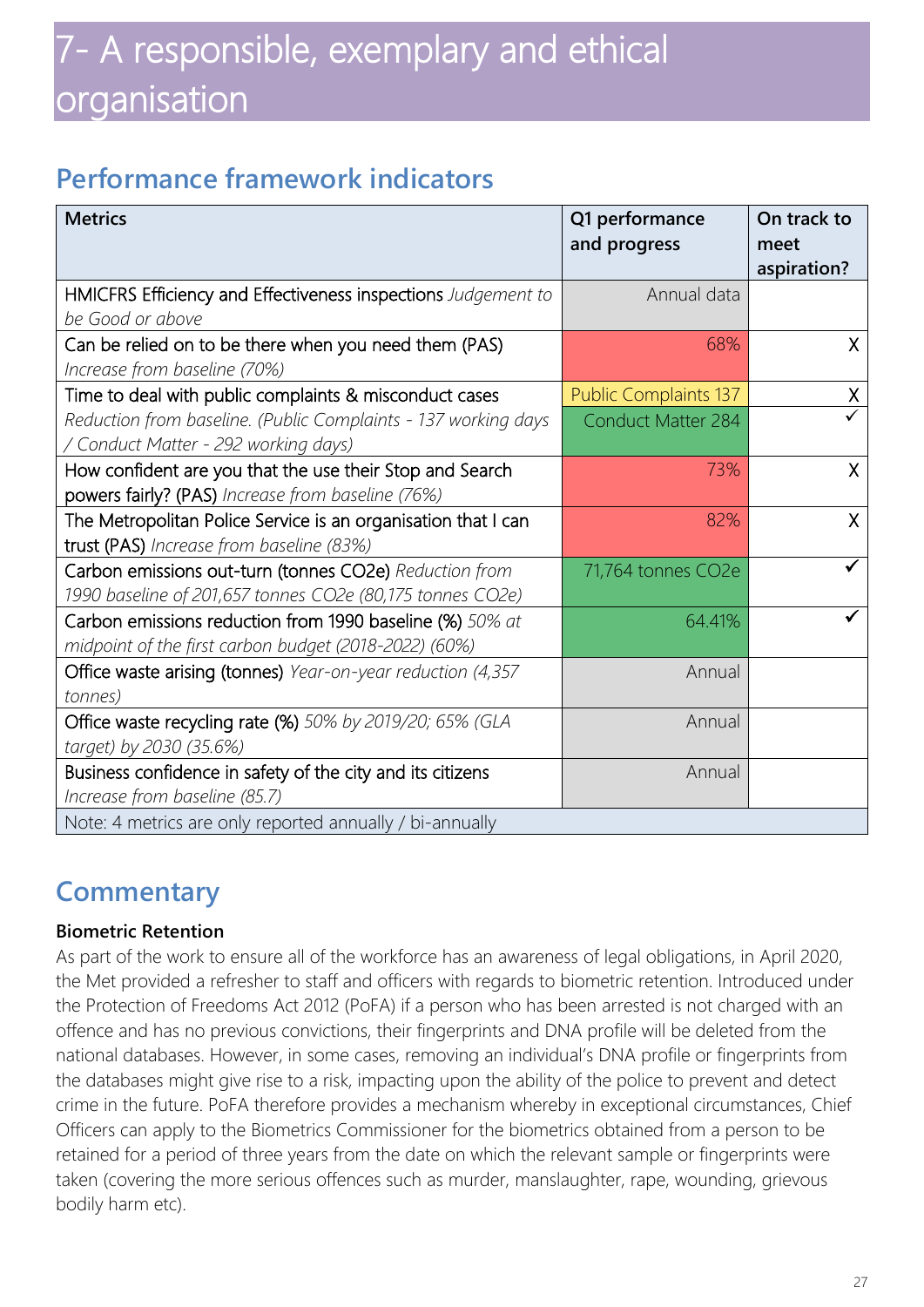### **Performance framework indicators**

| <b>Metrics</b>                                                 | Q1 performance<br>and progress | On track to<br>meet |
|----------------------------------------------------------------|--------------------------------|---------------------|
|                                                                |                                | aspiration?         |
| HMICFRS Efficiency and Effectiveness inspections Judgement to  | Annual data                    |                     |
| be Good or above                                               |                                |                     |
| Can be relied on to be there when you need them (PAS)          | 68%                            | $\mathsf{X}$        |
| Increase from baseline (70%)                                   |                                |                     |
| Time to deal with public complaints & misconduct cases         | <b>Public Complaints 137</b>   | X                   |
| Reduction from baseline. (Public Complaints - 137 working days | <b>Conduct Matter 284</b>      |                     |
| / Conduct Matter - 292 working days)                           |                                |                     |
| How confident are you that the use their Stop and Search       | 73%                            | X                   |
| powers fairly? (PAS) Increase from baseline (76%)              |                                |                     |
| The Metropolitan Police Service is an organisation that I can  | 82%                            | $\mathsf{X}$        |
| trust (PAS) Increase from baseline (83%)                       |                                |                     |
| Carbon emissions out-turn (tonnes CO2e) Reduction from         | 71,764 tonnes CO2e             |                     |
| 1990 baseline of 201,657 tonnes CO2e (80,175 tonnes CO2e)      |                                |                     |
| Carbon emissions reduction from 1990 baseline (%) 50% at       | 64.41%                         |                     |
| midpoint of the first carbon budget (2018-2022) (60%)          |                                |                     |
| Office waste arising (tonnes) Year-on-year reduction (4,357    | Annual                         |                     |
| tonnes)                                                        |                                |                     |
| Office waste recycling rate (%) 50% by 2019/20; 65% (GLA       | Annual                         |                     |
| target) by 2030 (35.6%)                                        |                                |                     |
| Business confidence in safety of the city and its citizens     | Annual                         |                     |
| Increase from baseline (85.7)                                  |                                |                     |
| Note: 4 metrics are only reported annually / bi-annually       |                                |                     |

### **Commentary**

#### **Biometric Retention**

As part of the work to ensure all of the workforce has an awareness of legal obligations, in April 2020, the Met provided a refresher to staff and officers with regards to biometric retention. Introduced under the Protection of Freedoms Act 2012 (PoFA) if a person who has been arrested is not charged with an offence and has no previous convictions, their fingerprints and DNA profile will be deleted from the national databases. However, in some cases, removing an individual's DNA profile or fingerprints from the databases might give rise to a risk, impacting upon the ability of the police to prevent and detect crime in the future. PoFA therefore provides a mechanism whereby in exceptional circumstances, Chief Officers can apply to the Biometrics Commissioner for the biometrics obtained from a person to be retained for a period of three years from the date on which the relevant sample or fingerprints were taken (covering the more serious offences such as murder, manslaughter, rape, wounding, grievous bodily harm etc).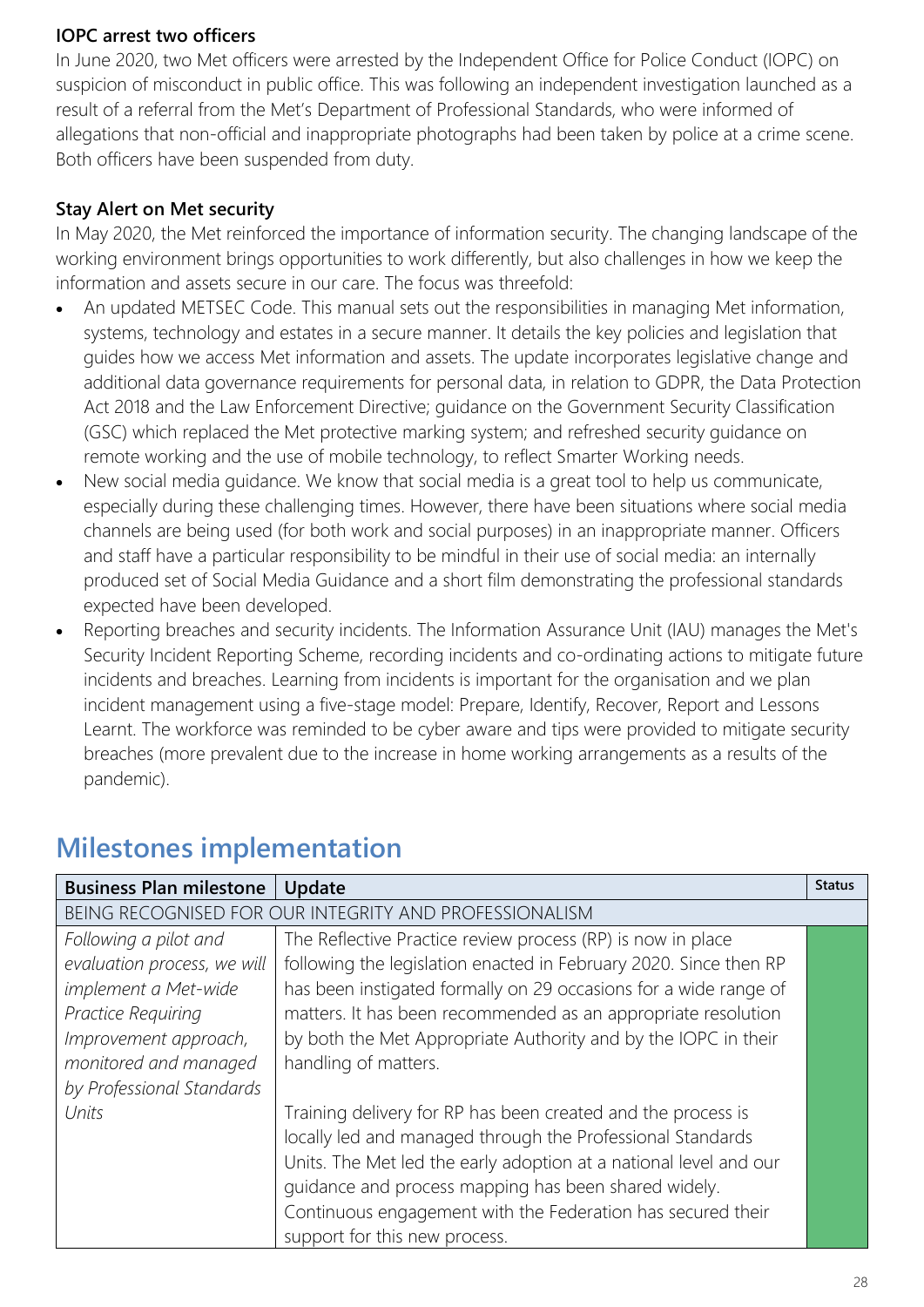#### **IOPC arrest two officers**

In June 2020, two Met officers were arrested by the Independent Office for Police Conduct (IOPC) on suspicion of misconduct in public office. This was following an independent investigation launched as a result of a referral from the Met's Department of Professional Standards, who were informed of allegations that non-official and inappropriate photographs had been taken by police at a crime scene. Both officers have been suspended from duty.

#### **Stay Alert on Met security**

In May 2020, the Met reinforced the importance of information security. The changing landscape of the working environment brings opportunities to work differently, but also challenges in how we keep the information and assets secure in our care. The focus was threefold:

- An updated METSEC Code. This manual sets out the responsibilities in managing Met information, systems, technology and estates in a secure manner. It details the key policies and legislation that guides how we access Met information and assets. The update incorporates legislative change and additional data governance requirements for personal data, in relation to GDPR, the Data Protection Act 2018 and the Law Enforcement Directive; guidance on the Government Security Classification (GSC) which replaced the Met protective marking system; and refreshed security guidance on remote working and the use of mobile technology, to reflect Smarter Working needs.
- New social media guidance. We know that social media is a great tool to help us communicate, especially during these challenging times. However, there have been situations where social media channels are being used (for both work and social purposes) in an inappropriate manner. Officers and staff have a particular responsibility to be mindful in their use of social media: an internally produced set of Social Media Guidance and a short film demonstrating the professional standards expected have been developed.
- Reporting breaches and security incidents. The Information Assurance Unit (IAU) manages the Met's Security Incident Reporting Scheme, recording incidents and co-ordinating actions to mitigate future incidents and breaches. Learning from incidents is important for the organisation and we plan incident management using a five-stage model: Prepare, Identify, Recover, Report and Lessons Learnt. The workforce was reminded to be cyber aware and tips were provided to mitigate security breaches (more prevalent due to the increase in home working arrangements as a results of the pandemic).

| <b>Business Plan milestone</b>                         | Update                                                            | <b>Status</b> |
|--------------------------------------------------------|-------------------------------------------------------------------|---------------|
| BEING RECOGNISED FOR OUR INTEGRITY AND PROFESSIONALISM |                                                                   |               |
| Following a pilot and                                  | The Reflective Practice review process (RP) is now in place       |               |
| evaluation process, we will                            | following the legislation enacted in February 2020. Since then RP |               |
| implement a Met-wide                                   | has been instigated formally on 29 occasions for a wide range of  |               |
| Practice Requiring                                     | matters. It has been recommended as an appropriate resolution     |               |
| Improvement approach,                                  | by both the Met Appropriate Authority and by the IOPC in their    |               |
| monitored and managed                                  | handling of matters.                                              |               |
| by Professional Standards                              |                                                                   |               |
| Units                                                  | Training delivery for RP has been created and the process is      |               |
|                                                        | locally led and managed through the Professional Standards        |               |
|                                                        | Units. The Met led the early adoption at a national level and our |               |
|                                                        | quidance and process mapping has been shared widely.              |               |
|                                                        | Continuous engagement with the Federation has secured their       |               |
|                                                        | support for this new process.                                     |               |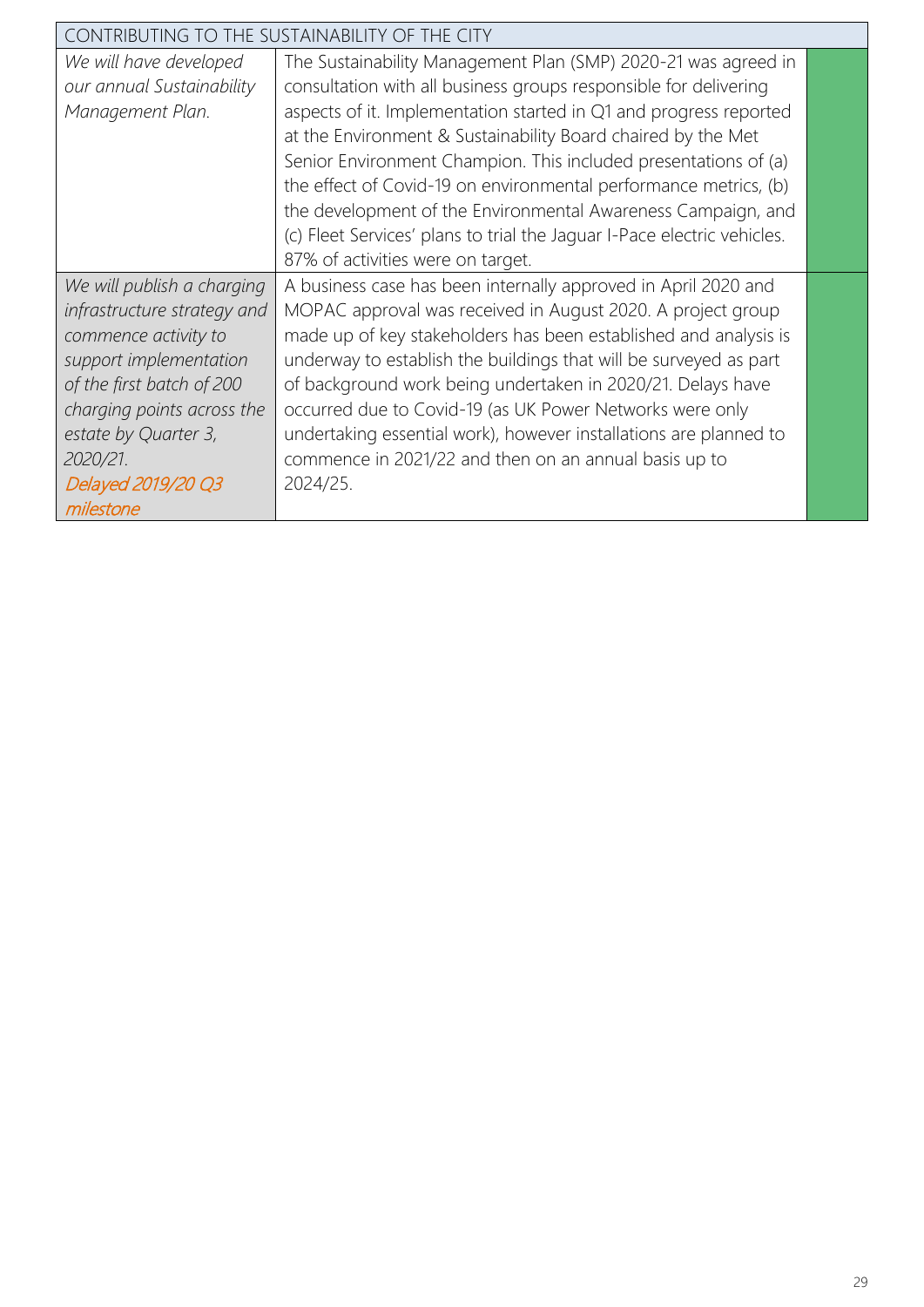| CONTRIBUTING TO THE SUSTAINABILITY OF THE CITY |                                                                         |  |
|------------------------------------------------|-------------------------------------------------------------------------|--|
| We will have developed                         | The Sustainability Management Plan (SMP) 2020-21 was agreed in          |  |
| our annual Sustainability                      | consultation with all business groups responsible for delivering        |  |
| Management Plan.                               | aspects of it. Implementation started in Q1 and progress reported       |  |
|                                                | at the Environment & Sustainability Board chaired by the Met            |  |
|                                                | Senior Environment Champion. This included presentations of (a)         |  |
|                                                | the effect of Covid-19 on environmental performance metrics, (b)        |  |
|                                                | the development of the Environmental Awareness Campaign, and            |  |
|                                                | (c) Fleet Services' plans to trial the Jaguar I-Pace electric vehicles. |  |
|                                                | 87% of activities were on target.                                       |  |
| We will publish a charging                     | A business case has been internally approved in April 2020 and          |  |
| infrastructure strategy and                    | MOPAC approval was received in August 2020. A project group             |  |
| commence activity to                           | made up of key stakeholders has been established and analysis is        |  |
| support implementation                         | underway to establish the buildings that will be surveyed as part       |  |
| of the first batch of 200                      | of background work being undertaken in 2020/21. Delays have             |  |
| charging points across the                     | occurred due to Covid-19 (as UK Power Networks were only                |  |
| estate by Quarter 3,                           | undertaking essential work), however installations are planned to       |  |
| 2020/21.                                       | commence in 2021/22 and then on an annual basis up to                   |  |
| Delayed 2019/20 Q3                             | 2024/25.                                                                |  |
| milestone                                      |                                                                         |  |